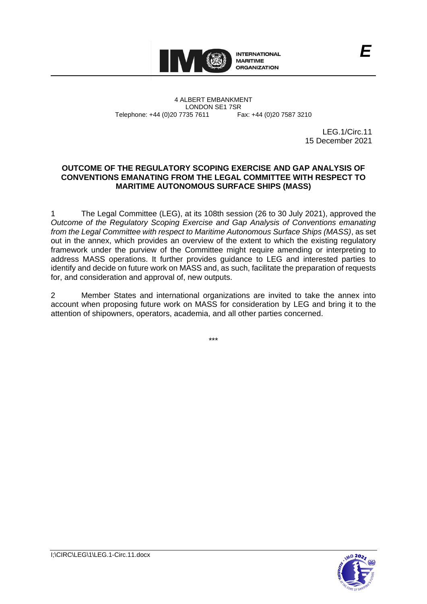

4 ALBERT EMBANKMENT Telephone: +44 (0)20 7735 7611

LONDON SE1 7SR<br>735 7611 Fax: +44 (0)20 7587 3210

LEG.1/Circ.11 15 December 2021

*E*

### **OUTCOME OF THE REGULATORY SCOPING EXERCISE AND GAP ANALYSIS OF CONVENTIONS EMANATING FROM THE LEGAL COMMITTEE WITH RESPECT TO MARITIME AUTONOMOUS SURFACE SHIPS (MASS)**

1 The Legal Committee (LEG), at its 108th session (26 to 30 July 2021), approved the *Outcome of the Regulatory Scoping Exercise and Gap Analysis of Conventions emanating from the Legal Committee with respect to Maritime Autonomous Surface Ships (MASS)*, as set out in the annex, which provides an overview of the extent to which the existing regulatory framework under the purview of the Committee might require amending or interpreting to address MASS operations. It further provides guidance to LEG and interested parties to identify and decide on future work on MASS and, as such, facilitate the preparation of requests for, and consideration and approval of, new outputs.

2 Member States and international organizations are invited to take the annex into account when proposing future work on MASS for consideration by LEG and bring it to the attention of shipowners, operators, academia, and all other parties concerned.

\*\*\*

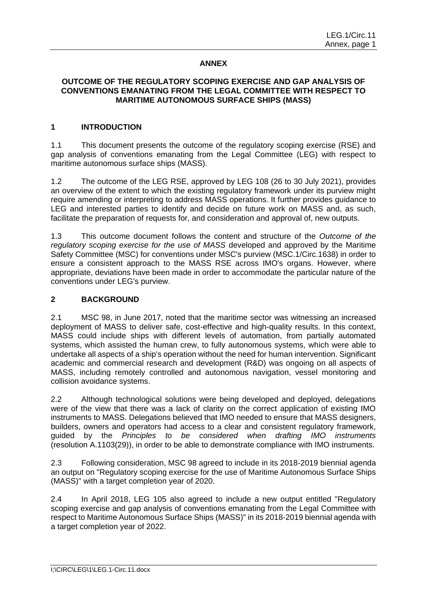### **ANNEX**

#### **OUTCOME OF THE REGULATORY SCOPING EXERCISE AND GAP ANALYSIS OF CONVENTIONS EMANATING FROM THE LEGAL COMMITTEE WITH RESPECT TO MARITIME AUTONOMOUS SURFACE SHIPS (MASS)**

#### **1 INTRODUCTION**

1.1 This document presents the outcome of the regulatory scoping exercise (RSE) and gap analysis of conventions emanating from the Legal Committee (LEG) with respect to maritime autonomous surface ships (MASS).

1.2 The outcome of the LEG RSE, approved by LEG 108 (26 to 30 July 2021), provides an overview of the extent to which the existing regulatory framework under its purview might require amending or interpreting to address MASS operations. It further provides guidance to LEG and interested parties to identify and decide on future work on MASS and, as such, facilitate the preparation of requests for, and consideration and approval of, new outputs.

1.3 This outcome document follows the content and structure of the *Outcome of the regulatory scoping exercise for the use of MASS* developed and approved by the Maritime Safety Committee (MSC) for conventions under MSC's purview (MSC.1/Circ.1638) in order to ensure a consistent approach to the MASS RSE across IMO's organs. However, where appropriate, deviations have been made in order to accommodate the particular nature of the conventions under LEG's purview.

#### **2 BACKGROUND**

2.1 MSC 98, in June 2017, noted that the maritime sector was witnessing an increased deployment of MASS to deliver safe, cost-effective and high-quality results. In this context, MASS could include ships with different levels of automation, from partially automated systems, which assisted the human crew, to fully autonomous systems, which were able to undertake all aspects of a ship's operation without the need for human intervention. Significant academic and commercial research and development (R&D) was ongoing on all aspects of MASS, including remotely controlled and autonomous navigation, vessel monitoring and collision avoidance systems.

2.2 Although technological solutions were being developed and deployed, delegations were of the view that there was a lack of clarity on the correct application of existing IMO instruments to MASS. Delegations believed that IMO needed to ensure that MASS designers, builders, owners and operators had access to a clear and consistent regulatory framework, guided by the *Principles to be considered when drafting IMO instruments* (resolution A.1103(29)), in order to be able to demonstrate compliance with IMO instruments.

2.3 Following consideration, MSC 98 agreed to include in its 2018-2019 biennial agenda an output on "Regulatory scoping exercise for the use of Maritime Autonomous Surface Ships (MASS)" with a target completion year of 2020.

2.4 In April 2018, LEG 105 also agreed to include a new output entitled "Regulatory scoping exercise and gap analysis of conventions emanating from the Legal Committee with respect to Maritime Autonomous Surface Ships (MASS)" in its 2018-2019 biennial agenda with a target completion year of 2022.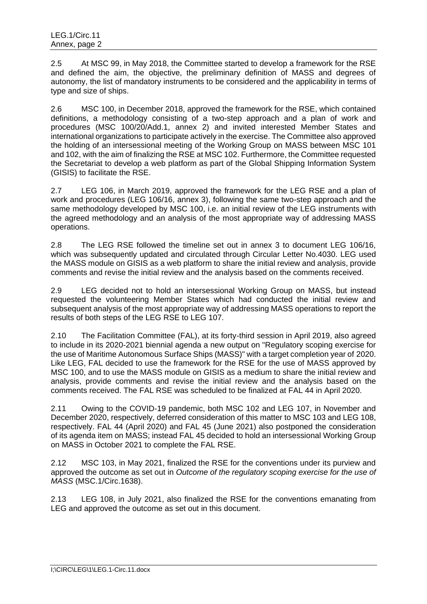2.5 At MSC 99, in May 2018, the Committee started to develop a framework for the RSE and defined the aim, the objective, the preliminary definition of MASS and degrees of autonomy, the list of mandatory instruments to be considered and the applicability in terms of type and size of ships.

2.6 MSC 100, in December 2018, approved the framework for the RSE, which contained definitions, a methodology consisting of a two-step approach and a plan of work and procedures (MSC 100/20/Add.1, annex 2) and invited interested Member States and international organizations to participate actively in the exercise. The Committee also approved the holding of an intersessional meeting of the Working Group on MASS between MSC 101 and 102, with the aim of finalizing the RSE at MSC 102. Furthermore, the Committee requested the Secretariat to develop a web platform as part of the Global Shipping Information System (GISIS) to facilitate the RSE.

2.7 LEG 106, in March 2019, approved the framework for the LEG RSE and a plan of work and procedures (LEG 106/16, annex 3), following the same two-step approach and the same methodology developed by MSC 100, i.e. an initial review of the LEG instruments with the agreed methodology and an analysis of the most appropriate way of addressing MASS operations.

2.8 The LEG RSE followed the timeline set out in annex 3 to document LEG 106/16, which was subsequently updated and circulated through Circular Letter No.4030. LEG used the MASS module on GISIS as a web platform to share the initial review and analysis, provide comments and revise the initial review and the analysis based on the comments received.

2.9 LEG decided not to hold an intersessional Working Group on MASS, but instead requested the volunteering Member States which had conducted the initial review and subsequent analysis of the most appropriate way of addressing MASS operations to report the results of both steps of the LEG RSE to LEG 107.

2.10 The Facilitation Committee (FAL), at its forty-third session in April 2019, also agreed to include in its 2020-2021 biennial agenda a new output on "Regulatory scoping exercise for the use of Maritime Autonomous Surface Ships (MASS)" with a target completion year of 2020. Like LEG, FAL decided to use the framework for the RSE for the use of MASS approved by MSC 100, and to use the MASS module on GISIS as a medium to share the initial review and analysis, provide comments and revise the initial review and the analysis based on the comments received. The FAL RSE was scheduled to be finalized at FAL 44 in April 2020.

2.11 Owing to the COVID-19 pandemic, both MSC 102 and LEG 107, in November and December 2020, respectively, deferred consideration of this matter to MSC 103 and LEG 108, respectively. FAL 44 (April 2020) and FAL 45 (June 2021) also postponed the consideration of its agenda item on MASS; instead FAL 45 decided to hold an intersessional Working Group on MASS in October 2021 to complete the FAL RSE.

2.12 MSC 103, in May 2021, finalized the RSE for the conventions under its purview and approved the outcome as set out in *Outcome of the regulatory scoping exercise for the use of MASS* (MSC.1/Circ.1638).

2.13 LEG 108, in July 2021, also finalized the RSE for the conventions emanating from LEG and approved the outcome as set out in this document.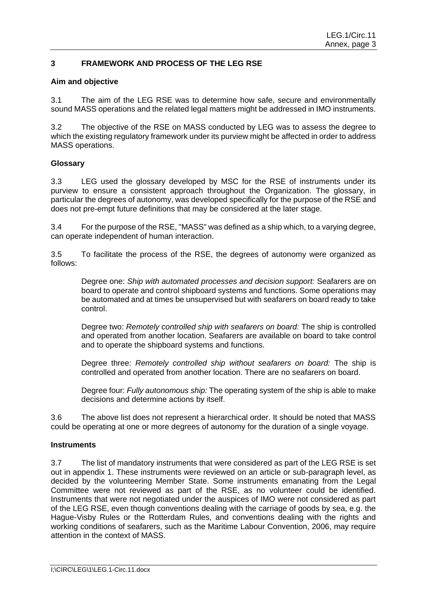### **3 FRAMEWORK AND PROCESS OF THE LEG RSE**

#### **Aim and objective**

3.1 The aim of the LEG RSE was to determine how safe, secure and environmentally sound MASS operations and the related legal matters might be addressed in IMO instruments.

3.2 The objective of the RSE on MASS conducted by LEG was to assess the degree to which the existing regulatory framework under its purview might be affected in order to address MASS operations.

#### **Glossary**

3.3 LEG used the glossary developed by MSC for the RSE of instruments under its purview to ensure a consistent approach throughout the Organization. The glossary, in particular the degrees of autonomy, was developed specifically for the purpose of the RSE and does not pre-empt future definitions that may be considered at the later stage.

3.4 For the purpose of the RSE, "MASS" was defined as a ship which, to a varying degree, can operate independent of human interaction.

3.5 To facilitate the process of the RSE, the degrees of autonomy were organized as follows:

Degree one: *Ship with automated processes and decision support:* Seafarers are on board to operate and control shipboard systems and functions. Some operations may be automated and at times be unsupervised but with seafarers on board ready to take control.

Degree two: *Remotely controlled ship with seafarers on board:* The ship is controlled and operated from another location. Seafarers are available on board to take control and to operate the shipboard systems and functions.

Degree three: *Remotely controlled ship without seafarers on board:* The ship is controlled and operated from another location. There are no seafarers on board.

Degree four: *Fully autonomous ship:* The operating system of the ship is able to make decisions and determine actions by itself.

3.6 The above list does not represent a hierarchical order. It should be noted that MASS could be operating at one or more degrees of autonomy for the duration of a single voyage.

#### **Instruments**

3.7 The list of mandatory instruments that were considered as part of the LEG RSE is set out in appendix 1. These instruments were reviewed on an article or sub-paragraph level, as decided by the volunteering Member State. Some instruments emanating from the Legal Committee were not reviewed as part of the RSE, as no volunteer could be identified. Instruments that were not negotiated under the auspices of IMO were not considered as part of the LEG RSE, even though conventions dealing with the carriage of goods by sea, e.g. the Hague-Visby Rules or the Rotterdam Rules, and conventions dealing with the rights and working conditions of seafarers, such as the Maritime Labour Convention, 2006, may require attention in the context of MASS.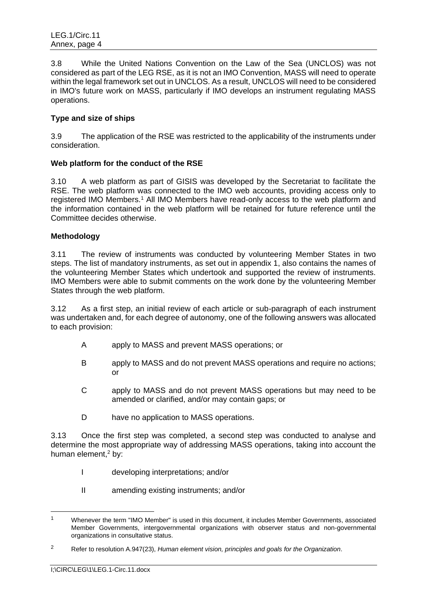3.8 While the United Nations Convention on the Law of the Sea (UNCLOS) was not considered as part of the LEG RSE, as it is not an IMO Convention, MASS will need to operate within the legal framework set out in UNCLOS. As a result, UNCLOS will need to be considered in IMO's future work on MASS, particularly if IMO develops an instrument regulating MASS operations.

### **Type and size of ships**

3.9 The application of the RSE was restricted to the applicability of the instruments under consideration.

#### **Web platform for the conduct of the RSE**

3.10 A web platform as part of GISIS was developed by the Secretariat to facilitate the RSE. The web platform was connected to the IMO web accounts, providing access only to registered IMO Members.<sup>1</sup> All IMO Members have read-only access to the web platform and the information contained in the web platform will be retained for future reference until the Committee decides otherwise.

#### **Methodology**

3.11 The review of instruments was conducted by volunteering Member States in two steps. The list of mandatory instruments, as set out in appendix 1, also contains the names of the volunteering Member States which undertook and supported the review of instruments. IMO Members were able to submit comments on the work done by the volunteering Member States through the web platform.

3.12 As a first step, an initial review of each article or sub-paragraph of each instrument was undertaken and, for each degree of autonomy, one of the following answers was allocated to each provision:

- A apply to MASS and prevent MASS operations; or
- B apply to MASS and do not prevent MASS operations and require no actions; or
- C apply to MASS and do not prevent MASS operations but may need to be amended or clarified, and/or may contain gaps; or
- D have no application to MASS operations.

3.13 Once the first step was completed, a second step was conducted to analyse and determine the most appropriate way of addressing MASS operations, taking into account the human element,<sup>2</sup> by:

- I developing interpretations; and/or
- II amending existing instruments; and/or

<sup>1</sup> Whenever the term "IMO Member" is used in this document, it includes Member Governments, associated Member Governments, intergovernmental organizations with observer status and non-governmental organizations in consultative status.

<sup>2</sup> Refer to resolution A.947(23), *Human element vision, principles and goals for the Organization*.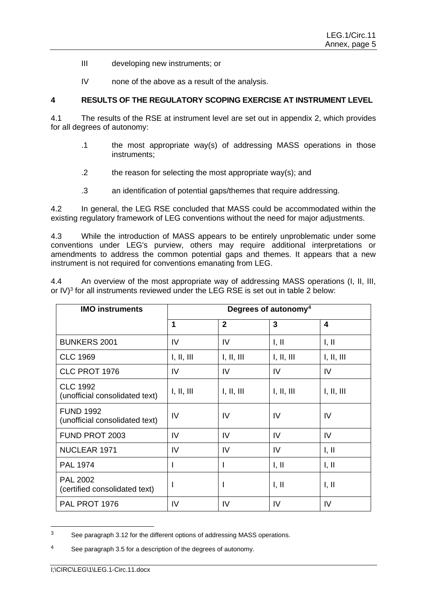- III developing new instruments; or
- IV none of the above as a result of the analysis.

### **4 RESULTS OF THE REGULATORY SCOPING EXERCISE AT INSTRUMENT LEVEL**

4.1 The results of the RSE at instrument level are set out in appendix 2, which provides for all degrees of autonomy:

- .1 the most appropriate way(s) of addressing MASS operations in those instruments;
- .2 the reason for selecting the most appropriate way(s); and
- .3 an identification of potential gaps/themes that require addressing.

4.2 In general, the LEG RSE concluded that MASS could be accommodated within the existing regulatory framework of LEG conventions without the need for major adjustments.

4.3 While the introduction of MASS appears to be entirely unproblematic under some conventions under LEG's purview, others may require additional interpretations or amendments to address the common potential gaps and themes. It appears that a new instrument is not required for conventions emanating from LEG.

4.4 An overview of the most appropriate way of addressing MASS operations (I, II, III, or IV) $3$  for all instruments reviewed under the LEG RSE is set out in table 2 below:

| <b>IMO instruments</b>                             | Degrees of autonomy <sup>4</sup> |              |            |            |
|----------------------------------------------------|----------------------------------|--------------|------------|------------|
|                                                    | 1                                | $\mathbf{2}$ | 3          | 4          |
| <b>BUNKERS 2001</b>                                | IV                               | IV           | I, II      | I, II      |
| <b>CLC 1969</b>                                    | I, II, III                       | I, II, III   | I, II, III | I, II, III |
| CLC PROT 1976                                      | IV                               | IV           | IV         | IV         |
| <b>CLC 1992</b><br>(unofficial consolidated text)  | I, II, III                       | I, II, III   | I, II, III | I, II, III |
| <b>FUND 1992</b><br>(unofficial consolidated text) | IV                               | IV           | IV.        | IV.        |
| FUND PROT 2003                                     | IV                               | IV           | IV         | IV         |
| NUCLEAR 1971                                       | IV                               | IV           | IV         | I, II      |
| <b>PAL 1974</b>                                    |                                  |              | I, II      | I, II      |
| <b>PAL 2002</b><br>(certified consolidated text)   |                                  |              | I, II      | I, II      |
| PAL PROT 1976                                      | IV                               | IV.          | IV         | IV         |

<sup>&</sup>lt;sup>3</sup> See paragraph 3.12 for the different options of addressing MASS operations.

<sup>4</sup> See paragraph 3.5 for a description of the degrees of autonomy.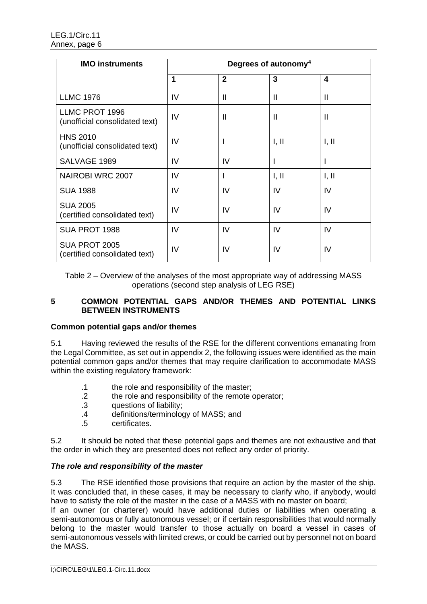| <b>IMO instruments</b>                            | Degrees of autonomy <sup>4</sup> |              |              |              |
|---------------------------------------------------|----------------------------------|--------------|--------------|--------------|
|                                                   | 1                                | $\mathbf{2}$ | 3            | 4            |
| <b>LLMC 1976</b>                                  | IV                               | $\mathbf{I}$ | $\mathbf{I}$ | $\mathbf{I}$ |
| LLMC PROT 1996<br>(unofficial consolidated text)  | IV                               | $\mathbf{I}$ | $\mathbf{I}$ | $\mathbf{I}$ |
| <b>HNS 2010</b><br>(unofficial consolidated text) | IV                               |              | I, II        | I, II        |
| SALVAGE 1989                                      | IV                               | IV           |              |              |
| NAIROBI WRC 2007                                  | IV                               | L            | I, II        | I, II        |
| <b>SUA 1988</b>                                   | IV                               | IV           | IV           | IV           |
| <b>SUA 2005</b><br>(certified consolidated text)  | IV.                              | IV           | IV           | IV           |
| SUA PROT 1988                                     | IV                               | IV           | IV           | IV           |
| SUA PROT 2005<br>(certified consolidated text)    | IV                               | IV           | IV           | IV           |

Table 2 – Overview of the analyses of the most appropriate way of addressing MASS operations (second step analysis of LEG RSE)

### **5 COMMON POTENTIAL GAPS AND/OR THEMES AND POTENTIAL LINKS BETWEEN INSTRUMENTS**

### **Common potential gaps and/or themes**

5.1 Having reviewed the results of the RSE for the different conventions emanating from the Legal Committee, as set out in appendix 2, the following issues were identified as the main potential common gaps and/or themes that may require clarification to accommodate MASS within the existing regulatory framework:

- .1 the role and responsibility of the master;
- .2 the role and responsibility of the remote operator;
- .3 questions of liability;
- .4 definitions/terminology of MASS; and
- .5 certificates.

5.2 It should be noted that these potential gaps and themes are not exhaustive and that the order in which they are presented does not reflect any order of priority.

#### *The role and responsibility of the master*

5.3 The RSE identified those provisions that require an action by the master of the ship. It was concluded that, in these cases, it may be necessary to clarify who, if anybody, would have to satisfy the role of the master in the case of a MASS with no master on board;

If an owner (or charterer) would have additional duties or liabilities when operating a semi-autonomous or fully autonomous vessel; or if certain responsibilities that would normally belong to the master would transfer to those actually on board a vessel in cases of semi-autonomous vessels with limited crews, or could be carried out by personnel not on board the MASS.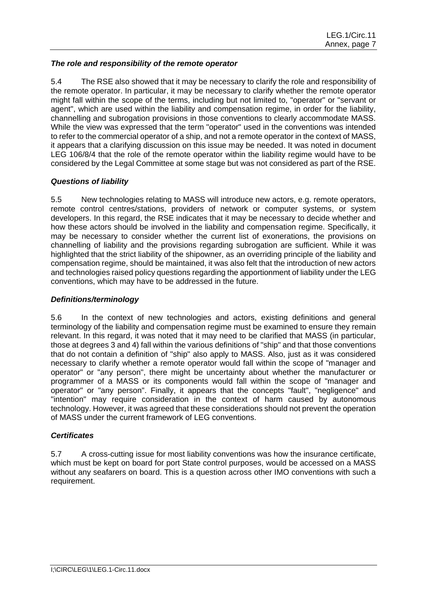### *The role and responsibility of the remote operator*

5.4 The RSE also showed that it may be necessary to clarify the role and responsibility of the remote operator. In particular, it may be necessary to clarify whether the remote operator might fall within the scope of the terms, including but not limited to, "operator" or "servant or agent", which are used within the liability and compensation regime, in order for the liability, channelling and subrogation provisions in those conventions to clearly accommodate MASS. While the view was expressed that the term "operator" used in the conventions was intended to refer to the commercial operator of a ship, and not a remote operator in the context of MASS, it appears that a clarifying discussion on this issue may be needed. It was noted in document LEG 106/8/4 that the role of the remote operator within the liability regime would have to be considered by the Legal Committee at some stage but was not considered as part of the RSE.

### *Questions of liability*

5.5 New technologies relating to MASS will introduce new actors, e.g. remote operators, remote control centres/stations, providers of network or computer systems, or system developers. In this regard, the RSE indicates that it may be necessary to decide whether and how these actors should be involved in the liability and compensation regime. Specifically, it may be necessary to consider whether the current list of exonerations, the provisions on channelling of liability and the provisions regarding subrogation are sufficient. While it was highlighted that the strict liability of the shipowner, as an overriding principle of the liability and compensation regime, should be maintained, it was also felt that the introduction of new actors and technologies raised policy questions regarding the apportionment of liability under the LEG conventions, which may have to be addressed in the future.

#### *Definitions/terminology*

5.6 In the context of new technologies and actors, existing definitions and general terminology of the liability and compensation regime must be examined to ensure they remain relevant. In this regard, it was noted that it may need to be clarified that MASS (in particular, those at degrees 3 and 4) fall within the various definitions of "ship" and that those conventions that do not contain a definition of "ship" also apply to MASS. Also, just as it was considered necessary to clarify whether a remote operator would fall within the scope of "manager and operator" or "any person", there might be uncertainty about whether the manufacturer or programmer of a MASS or its components would fall within the scope of "manager and operator" or "any person". Finally, it appears that the concepts "fault", "negligence" and "intention" may require consideration in the context of harm caused by autonomous technology. However, it was agreed that these considerations should not prevent the operation of MASS under the current framework of LEG conventions.

### *Certificates*

5.7 A cross-cutting issue for most liability conventions was how the insurance certificate, which must be kept on board for port State control purposes, would be accessed on a MASS without any seafarers on board. This is a question across other IMO conventions with such a requirement.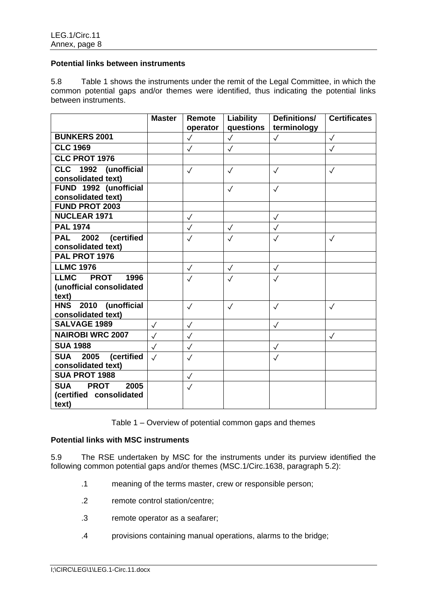#### **Potential links between instruments**

5.8 Table 1 shows the instruments under the remit of the Legal Committee, in which the common potential gaps and/or themes were identified, thus indicating the potential links between instruments.

|                                                                         | <b>Master</b> | Remote       | Liability<br>questions | Definitions/<br>terminology | <b>Certificates</b> |
|-------------------------------------------------------------------------|---------------|--------------|------------------------|-----------------------------|---------------------|
| <b>BUNKERS 2001</b>                                                     |               | operator     |                        |                             |                     |
|                                                                         |               | $\checkmark$ | $\checkmark$           | $\checkmark$                | $\checkmark$        |
| <b>CLC 1969</b>                                                         |               | $\checkmark$ | $\checkmark$           |                             | $\checkmark$        |
| <b>CLC PROT 1976</b>                                                    |               |              |                        |                             |                     |
| <b>CLC 1992</b><br>(unofficial                                          |               | $\checkmark$ | $\checkmark$           | $\checkmark$                | $\checkmark$        |
| consolidated text)                                                      |               |              |                        |                             |                     |
| FUND 1992 (unofficial<br>consolidated text)                             |               |              | $\checkmark$           | $\checkmark$                |                     |
| FUND PROT 2003                                                          |               |              |                        |                             |                     |
| <b>NUCLEAR 1971</b>                                                     |               | $\sqrt{}$    |                        | $\checkmark$                |                     |
| <b>PAL 1974</b>                                                         |               | $\checkmark$ | $\checkmark$           | $\checkmark$                |                     |
| PAL 2002 (certified<br>consolidated text)                               |               | $\checkmark$ | $\checkmark$           | $\checkmark$                | $\checkmark$        |
| PAL PROT 1976                                                           |               |              |                        |                             |                     |
| <b>LLMC 1976</b>                                                        |               | $\checkmark$ | $\checkmark$           | $\checkmark$                |                     |
| <b>LLMC</b><br><b>PROT</b><br>1996<br>(unofficial consolidated<br>text) |               | $\checkmark$ | $\checkmark$           | $\checkmark$                |                     |
| 2010<br>(unofficial<br><b>HNS</b><br>consolidated text)                 |               | $\checkmark$ | $\checkmark$           | $\checkmark$                | $\checkmark$        |
| <b>SALVAGE 1989</b>                                                     | $\checkmark$  | $\checkmark$ |                        | $\checkmark$                |                     |
| <b>NAIROBI WRC 2007</b>                                                 | $\checkmark$  | $\checkmark$ |                        |                             | $\checkmark$        |
| <b>SUA 1988</b>                                                         | $\checkmark$  | $\checkmark$ |                        | $\checkmark$                |                     |
| <b>SUA 2005</b><br>(certified<br>consolidated text)                     | $\checkmark$  | $\checkmark$ |                        | $\checkmark$                |                     |
| <b>SUA PROT 1988</b>                                                    |               | $\checkmark$ |                        |                             |                     |
| <b>SUA</b><br><b>PROT</b><br>2005<br>(certified consolidated<br>text)   |               | $\checkmark$ |                        |                             |                     |

Table 1 – Overview of potential common gaps and themes

### **Potential links with MSC instruments**

5.9 The RSE undertaken by MSC for the instruments under its purview identified the following common potential gaps and/or themes (MSC.1/Circ.1638, paragraph 5.2):

- .1 meaning of the terms master, crew or responsible person;
- .2 remote control station/centre;
- .3 remote operator as a seafarer;
- .4 provisions containing manual operations, alarms to the bridge;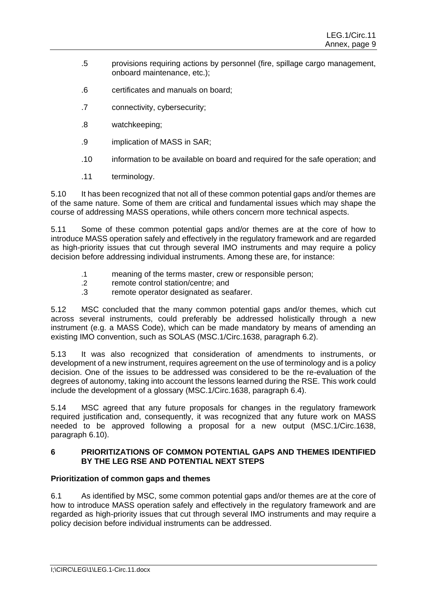- .5 provisions requiring actions by personnel (fire, spillage cargo management, onboard maintenance, etc.);
- .6 certificates and manuals on board;
- .7 connectivity, cybersecurity;
- .8 watchkeeping;
- .9 implication of MASS in SAR;
- .10 information to be available on board and required for the safe operation; and
- .11 terminology.

5.10 It has been recognized that not all of these common potential gaps and/or themes are of the same nature. Some of them are critical and fundamental issues which may shape the course of addressing MASS operations, while others concern more technical aspects.

5.11 Some of these common potential gaps and/or themes are at the core of how to introduce MASS operation safely and effectively in the regulatory framework and are regarded as high-priority issues that cut through several IMO instruments and may require a policy decision before addressing individual instruments. Among these are, for instance:

- .1 meaning of the terms master, crew or responsible person;
- .2 remote control station/centre; and
- .3 remote operator designated as seafarer.

5.12 MSC concluded that the many common potential gaps and/or themes, which cut across several instruments, could preferably be addressed holistically through a new instrument (e.g. a MASS Code), which can be made mandatory by means of amending an existing IMO convention, such as SOLAS (MSC.1/Circ.1638, paragraph 6.2).

5.13 It was also recognized that consideration of amendments to instruments, or development of a new instrument, requires agreement on the use of terminology and is a policy decision. One of the issues to be addressed was considered to be the re-evaluation of the degrees of autonomy, taking into account the lessons learned during the RSE. This work could include the development of a glossary (MSC.1/Circ.1638, paragraph 6.4).

5.14 MSC agreed that any future proposals for changes in the regulatory framework required justification and, consequently, it was recognized that any future work on MASS needed to be approved following a proposal for a new output (MSC.1/Circ.1638, paragraph 6.10).

### **6 PRIORITIZATIONS OF COMMON POTENTIAL GAPS AND THEMES IDENTIFIED BY THE LEG RSE AND POTENTIAL NEXT STEPS**

### **Prioritization of common gaps and themes**

6.1 As identified by MSC, some common potential gaps and/or themes are at the core of how to introduce MASS operation safely and effectively in the regulatory framework and are regarded as high-priority issues that cut through several IMO instruments and may require a policy decision before individual instruments can be addressed.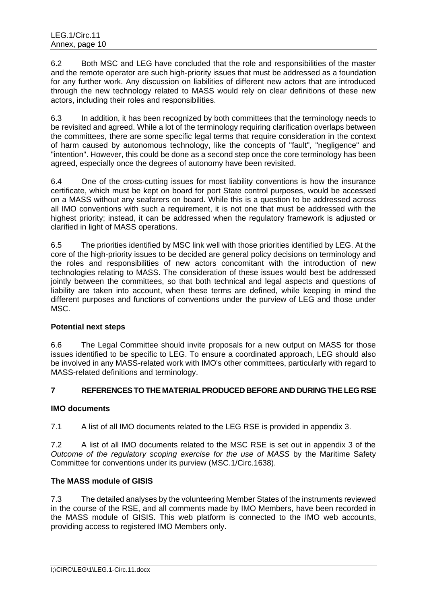6.2 Both MSC and LEG have concluded that the role and responsibilities of the master and the remote operator are such high-priority issues that must be addressed as a foundation for any further work. Any discussion on liabilities of different new actors that are introduced through the new technology related to MASS would rely on clear definitions of these new actors, including their roles and responsibilities.

6.3 In addition, it has been recognized by both committees that the terminology needs to be revisited and agreed. While a lot of the terminology requiring clarification overlaps between the committees, there are some specific legal terms that require consideration in the context of harm caused by autonomous technology, like the concepts of "fault", "negligence" and "intention". However, this could be done as a second step once the core terminology has been agreed, especially once the degrees of autonomy have been revisited.

6.4 One of the cross-cutting issues for most liability conventions is how the insurance certificate, which must be kept on board for port State control purposes, would be accessed on a MASS without any seafarers on board. While this is a question to be addressed across all IMO conventions with such a requirement, it is not one that must be addressed with the highest priority; instead, it can be addressed when the regulatory framework is adjusted or clarified in light of MASS operations.

6.5 The priorities identified by MSC link well with those priorities identified by LEG. At the core of the high-priority issues to be decided are general policy decisions on terminology and the roles and responsibilities of new actors concomitant with the introduction of new technologies relating to MASS. The consideration of these issues would best be addressed jointly between the committees, so that both technical and legal aspects and questions of liability are taken into account, when these terms are defined, while keeping in mind the different purposes and functions of conventions under the purview of LEG and those under MSC.

## **Potential next steps**

6.6 The Legal Committee should invite proposals for a new output on MASS for those issues identified to be specific to LEG. To ensure a coordinated approach, LEG should also be involved in any MASS-related work with IMO's other committees, particularly with regard to MASS-related definitions and terminology.

## **7 REFERENCES TO THE MATERIAL PRODUCED BEFORE AND DURING THE LEG RSE**

### **IMO documents**

7.1 A list of all IMO documents related to the LEG RSE is provided in appendix 3.

7.2 A list of all IMO documents related to the MSC RSE is set out in appendix 3 of the *Outcome of the regulatory scoping exercise for the use of MASS* by the Maritime Safety Committee for conventions under its purview (MSC.1/Circ.1638).

### **The MASS module of GISIS**

7.3 The detailed analyses by the volunteering Member States of the instruments reviewed in the course of the RSE, and all comments made by IMO Members, have been recorded in the MASS module of GISIS. This web platform is connected to the IMO web accounts, providing access to registered IMO Members only.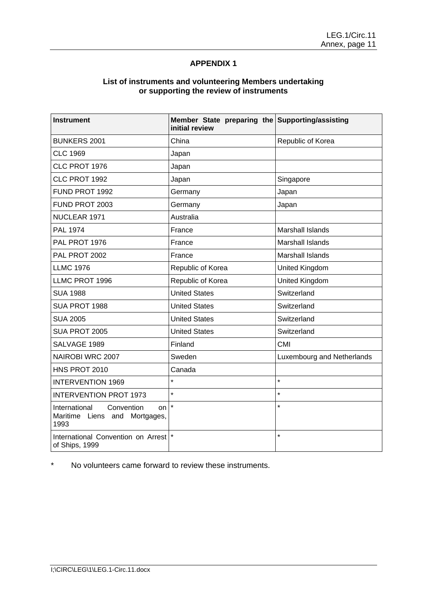### **APPENDIX 1**

#### **List of instruments and volunteering Members undertaking or supporting the review of instruments**

| <b>Instrument</b>                                                             | Member State preparing the Supporting/assisting<br>initial review |                            |
|-------------------------------------------------------------------------------|-------------------------------------------------------------------|----------------------------|
| <b>BUNKERS 2001</b>                                                           | China                                                             | Republic of Korea          |
| <b>CLC 1969</b>                                                               | Japan                                                             |                            |
| CLC PROT 1976                                                                 | Japan                                                             |                            |
| CLC PROT 1992                                                                 | Japan                                                             | Singapore                  |
| FUND PROT 1992                                                                | Germany                                                           | Japan                      |
| FUND PROT 2003                                                                | Germany                                                           | Japan                      |
| NUCLEAR 1971                                                                  | Australia                                                         |                            |
| <b>PAL 1974</b>                                                               | France                                                            | Marshall Islands           |
| PAL PROT 1976                                                                 | France                                                            | <b>Marshall Islands</b>    |
| PAL PROT 2002                                                                 | France                                                            | Marshall Islands           |
| <b>LLMC 1976</b>                                                              | Republic of Korea                                                 | United Kingdom             |
| LLMC PROT 1996                                                                | Republic of Korea                                                 | <b>United Kingdom</b>      |
| <b>SUA 1988</b>                                                               | <b>United States</b>                                              | Switzerland                |
| SUA PROT 1988                                                                 | <b>United States</b>                                              | Switzerland                |
| <b>SUA 2005</b>                                                               | <b>United States</b>                                              | Switzerland                |
| SUA PROT 2005                                                                 | <b>United States</b>                                              | Switzerland                |
| SALVAGE 1989                                                                  | Finland                                                           | <b>CMI</b>                 |
| NAIROBI WRC 2007                                                              | Sweden                                                            | Luxembourg and Netherlands |
| HNS PROT 2010                                                                 | Canada                                                            |                            |
| <b>INTERVENTION 1969</b>                                                      | $\star$                                                           | $\star$                    |
| <b>INTERVENTION PROT 1973</b>                                                 | $\star$                                                           | $\star$                    |
| International<br>Convention<br>on<br>Maritime Liens and<br>Mortgages,<br>1993 | $\star$                                                           | $\star$                    |
| International Convention on Arrest <sup>*</sup><br>of Ships, 1999             |                                                                   | $\star$                    |

\* No volunteers came forward to review these instruments.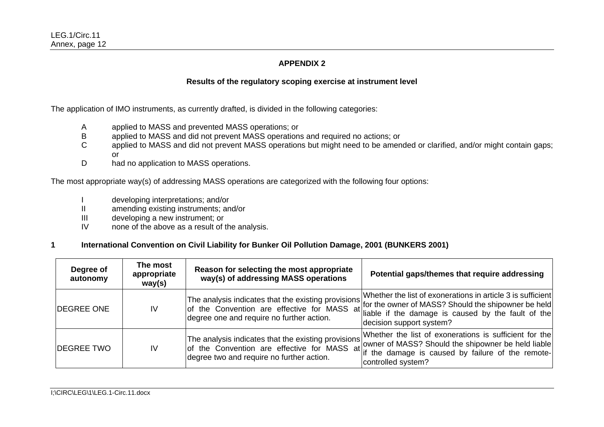# **APPENDIX 2**

# **Results of the regulatory scoping exercise at instrument level**

The application of IMO instruments, as currently drafted, is divided in the following categories:

- A applied to MASS and prevented MASS operations; or
- B applied to MASS and did not prevent MASS operations and required no actions; or
- C applied to MASS and did not prevent MASS operations but might need to be amended or clarified, and/or might contain gaps; or
- D had no application to MASS operations.

The most appropriate way(s) of addressing MASS operations are categorized with the following four options:

- I developing interpretations; and/or<br>II amending existing instruments: an
- II amending existing instruments; and/or<br>III developing a new instrument: or
- III developing a new instrument; or<br>IV none of the above as a result of t
- none of the above as a result of the analysis.

## **1 International Convention on Civil Liability for Bunker Oil Pollution Damage, 2001 (BUNKERS 2001)**

| Degree of<br>autonomy | The most<br>appropriate<br>way(s) | Reason for selecting the most appropriate<br>way(s) of addressing MASS operations                                                            | Potential gaps/themes that require addressing                                                                                                                                                                                                     |
|-----------------------|-----------------------------------|----------------------------------------------------------------------------------------------------------------------------------------------|---------------------------------------------------------------------------------------------------------------------------------------------------------------------------------------------------------------------------------------------------|
| <b>DEGREE ONE</b>     | IV                                | The analysis indicates that the existing provisions<br>of the Convention are effective for MASS<br>degree one and require no further action. | Whether the list of exonerations in article 3 is sufficient<br>$\frac{\text{d}}{\text{d}}$ for the owner of MASS? Should the shipowner be held at liable if the damage is caused by the fault of the<br>decision support system?                  |
| <b>IDEGREE TWO</b>    | IV                                | of the Convention are effective for MASS<br>degree two and require no further action.                                                        | The analysis indicates that the existing provisions Whether the list of exonerations is sufficient for the<br>at a bowner of MASS? Should the shipowner be held liable<br>if the damage is caused by failure of the remote-<br>controlled system? |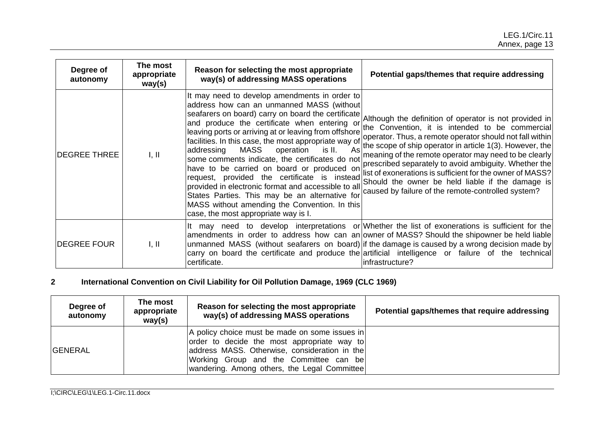| Degree of<br>autonomy | The most<br>appropriate<br>way(s) | Reason for selecting the most appropriate<br>way(s) of addressing MASS operations                                                                                                                                                                                                                                                                                                                                                                                                                                                                                                                             | Potential gaps/themes that require addressing                                                                                                                                                                                                                                                                                                                                                                                                                                                                                                                                                                            |
|-----------------------|-----------------------------------|---------------------------------------------------------------------------------------------------------------------------------------------------------------------------------------------------------------------------------------------------------------------------------------------------------------------------------------------------------------------------------------------------------------------------------------------------------------------------------------------------------------------------------------------------------------------------------------------------------------|--------------------------------------------------------------------------------------------------------------------------------------------------------------------------------------------------------------------------------------------------------------------------------------------------------------------------------------------------------------------------------------------------------------------------------------------------------------------------------------------------------------------------------------------------------------------------------------------------------------------------|
| <b>DEGREE THREE</b>   | I, II                             | It may need to develop amendments in order to<br>address how can an unmanned MASS (without)<br>and produce the certificate when entering or<br>leaving ports or arriving at or leaving from offshore<br>facilities. In this case, the most appropriate way of<br>MASS<br>is II.<br>addressing<br>operation<br>some comments indicate, the certificates do not<br>have to be carried on board or produced on<br>provided in electronic format and accessible to all<br>States Parties. This may be an alternative for<br>MASS without amending the Convention. In this<br>case, the most appropriate way is I. | seafarers on board) carry on board the certificate Although the definition of operator is not provided in<br>the Convention, it is intended to be commercial<br>operator. Thus, a remote operator should not fall within<br>As the scope of ship operator in article 1(3). However, the<br>meaning of the remote operator may need to be clearly<br>prescribed separately to avoid ambiguity. Whether the<br>request, provided the certificate is instead of exonerations is sufficient for the owner of MASS?<br>Should the owner be held liable if the damage is<br>caused by failure of the remote-controlled system? |
| <b>DEGREE FOUR</b>    | I, II                             | certificate.                                                                                                                                                                                                                                                                                                                                                                                                                                                                                                                                                                                                  | may need to develop interpretations or Whether the list of exonerations is sufficient for the<br>amendments in order to address how can an owner of MASS? Should the shipowner be held liable<br>unmanned MASS (without seafarers on board) if the damage is caused by a wrong decision made by<br>carry on board the certificate and produce the artificial intelligence or failure of the technical<br>infrastructure?                                                                                                                                                                                                 |

# **2 International Convention on Civil Liability for Oil Pollution Damage, 1969 (CLC 1969)**

| Degree of<br>autonomy | The most<br>appropriate<br>way(s) | Reason for selecting the most appropriate<br>way(s) of addressing MASS operations                                                                                                                                                        | Potential gaps/themes that require addressing |
|-----------------------|-----------------------------------|------------------------------------------------------------------------------------------------------------------------------------------------------------------------------------------------------------------------------------------|-----------------------------------------------|
| <b>IGENERAL</b>       |                                   | A policy choice must be made on some issues in<br>order to decide the most appropriate way to<br>address MASS. Otherwise, consideration in the<br>Working Group and the Committee can be<br>wandering. Among others, the Legal Committee |                                               |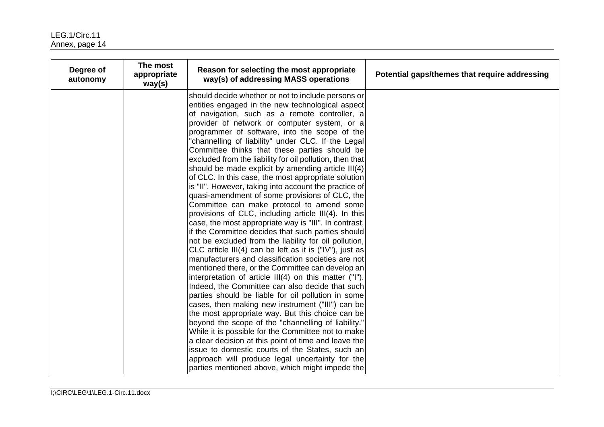| Degree of<br>autonomy | The most<br>appropriate<br>way(s) | Reason for selecting the most appropriate<br>way(s) of addressing MASS operations | Potential gaps/themes that require addressing |
|-----------------------|-----------------------------------|-----------------------------------------------------------------------------------|-----------------------------------------------|
|                       |                                   | should decide whether or not to include persons or                                |                                               |
|                       |                                   | entities engaged in the new technological aspect                                  |                                               |
|                       |                                   | of navigation, such as a remote controller, a                                     |                                               |
|                       |                                   | provider of network or computer system, or a                                      |                                               |
|                       |                                   | programmer of software, into the scope of the                                     |                                               |
|                       |                                   | "channelling of liability" under CLC. If the Legal                                |                                               |
|                       |                                   | Committee thinks that these parties should be                                     |                                               |
|                       |                                   | excluded from the liability for oil pollution, then that                          |                                               |
|                       |                                   | should be made explicit by amending article III(4)                                |                                               |
|                       |                                   | of CLC. In this case, the most appropriate solution                               |                                               |
|                       |                                   | is "II". However, taking into account the practice of                             |                                               |
|                       |                                   | quasi-amendment of some provisions of CLC, the                                    |                                               |
|                       |                                   | Committee can make protocol to amend some                                         |                                               |
|                       |                                   | provisions of CLC, including article III(4). In this                              |                                               |
|                       |                                   | case, the most appropriate way is "III". In contrast,                             |                                               |
|                       |                                   | if the Committee decides that such parties should                                 |                                               |
|                       |                                   | not be excluded from the liability for oil pollution,                             |                                               |
|                       |                                   | CLC article III(4) can be left as it is ("IV"), just as                           |                                               |
|                       |                                   | manufacturers and classification societies are not                                |                                               |
|                       |                                   | mentioned there, or the Committee can develop an                                  |                                               |
|                       |                                   | interpretation of article III(4) on this matter ("I").                            |                                               |
|                       |                                   | Indeed, the Committee can also decide that such                                   |                                               |
|                       |                                   | parties should be liable for oil pollution in some                                |                                               |
|                       |                                   | cases, then making new instrument ("III") can be                                  |                                               |
|                       |                                   | the most appropriate way. But this choice can be                                  |                                               |
|                       |                                   | beyond the scope of the "channelling of liability."                               |                                               |
|                       |                                   | While it is possible for the Committee not to make                                |                                               |
|                       |                                   | a clear decision at this point of time and leave the                              |                                               |
|                       |                                   | issue to domestic courts of the States, such an                                   |                                               |
|                       |                                   | approach will produce legal uncertainty for the                                   |                                               |
|                       |                                   | parties mentioned above, which might impede the                                   |                                               |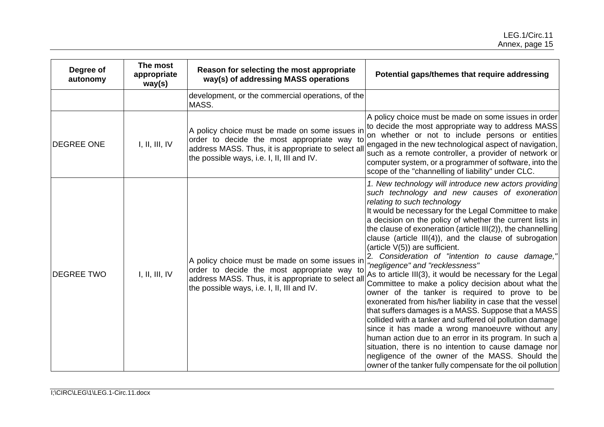| Degree of<br>autonomy | The most<br>appropriate<br>way(s) | Reason for selecting the most appropriate<br>way(s) of addressing MASS operations                                                                                                                  | Potential gaps/themes that require addressing                                                                                                                                                                                                                                                                                                                                                                                                                                                                                                                                                                                                                                                                                                                                                                                                                                                                                                                                                                                                                                                                                                                 |
|-----------------------|-----------------------------------|----------------------------------------------------------------------------------------------------------------------------------------------------------------------------------------------------|---------------------------------------------------------------------------------------------------------------------------------------------------------------------------------------------------------------------------------------------------------------------------------------------------------------------------------------------------------------------------------------------------------------------------------------------------------------------------------------------------------------------------------------------------------------------------------------------------------------------------------------------------------------------------------------------------------------------------------------------------------------------------------------------------------------------------------------------------------------------------------------------------------------------------------------------------------------------------------------------------------------------------------------------------------------------------------------------------------------------------------------------------------------|
|                       |                                   | development, or the commercial operations, of the<br>MASS.                                                                                                                                         |                                                                                                                                                                                                                                                                                                                                                                                                                                                                                                                                                                                                                                                                                                                                                                                                                                                                                                                                                                                                                                                                                                                                                               |
| <b>DEGREE ONE</b>     | I, II, III, IV                    | A policy choice must be made on some issues in<br>order to decide the most appropriate way to<br>address MASS. Thus, it is appropriate to select all<br>the possible ways, i.e. I, II, III and IV. | A policy choice must be made on some issues in order<br>to decide the most appropriate way to address MASS<br>on whether or not to include persons or entities<br>engaged in the new technological aspect of navigation,<br>such as a remote controller, a provider of network or<br>computer system, or a programmer of software, into the<br>scope of the "channelling of liability" under CLC.                                                                                                                                                                                                                                                                                                                                                                                                                                                                                                                                                                                                                                                                                                                                                             |
| <b>DEGREE TWO</b>     | I, II, III, IV                    | A policy choice must be made on some issues in<br>order to decide the most appropriate way to<br>address MASS. Thus, it is appropriate to select all<br>the possible ways, i.e. I, II, III and IV. | 1. New technology will introduce new actors providing<br>such technology and new causes of exoneration<br>relating to such technology<br>It would be necessary for the Legal Committee to make<br>a decision on the policy of whether the current lists in<br>the clause of exoneration (article $III(2)$ ), the channelling<br>clause (article III(4)), and the clause of subrogation<br>(article $V(5)$ ) are sufficient.<br>2. Consideration of "intention to cause damage,"<br>"negligence" and "recklessness"<br>As to article III(3), it would be necessary for the Legal<br>Committee to make a policy decision about what the<br>owner of the tanker is required to prove to be<br>exonerated from his/her liability in case that the vessel<br>that suffers damages is a MASS. Suppose that a MASS<br>collided with a tanker and suffered oil pollution damage<br>since it has made a wrong manoeuvre without any<br>human action due to an error in its program. In such a<br>situation, there is no intention to cause damage nor<br>negligence of the owner of the MASS. Should the<br>owner of the tanker fully compensate for the oil pollution |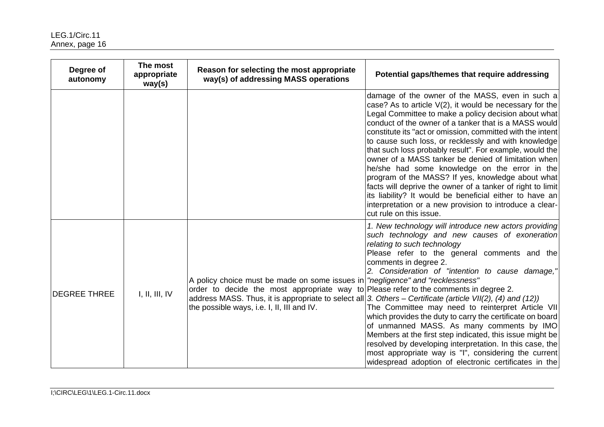| Degree of<br>autonomy | The most<br>appropriate<br>way(s) | Reason for selecting the most appropriate<br>way(s) of addressing MASS operations                                                                                                                                                                                                                                                   | Potential gaps/themes that require addressing                                                                                                                                                                                                                                                                                                                                                                                                                                                                                                                                                                                                                                                                                                                                               |
|-----------------------|-----------------------------------|-------------------------------------------------------------------------------------------------------------------------------------------------------------------------------------------------------------------------------------------------------------------------------------------------------------------------------------|---------------------------------------------------------------------------------------------------------------------------------------------------------------------------------------------------------------------------------------------------------------------------------------------------------------------------------------------------------------------------------------------------------------------------------------------------------------------------------------------------------------------------------------------------------------------------------------------------------------------------------------------------------------------------------------------------------------------------------------------------------------------------------------------|
|                       |                                   |                                                                                                                                                                                                                                                                                                                                     | damage of the owner of the MASS, even in such a<br>case? As to article $V(2)$ , it would be necessary for the<br>Legal Committee to make a policy decision about what<br>conduct of the owner of a tanker that is a MASS would<br>constitute its "act or omission, committed with the intent<br>to cause such loss, or recklessly and with knowledge<br>that such loss probably result". For example, would the<br>owner of a MASS tanker be denied of limitation when<br>he/she had some knowledge on the error in the<br>program of the MASS? If yes, knowledge about what<br>facts will deprive the owner of a tanker of right to limit<br>its liability? It would be beneficial either to have an<br>interpretation or a new provision to introduce a clear-<br>cut rule on this issue. |
| <b>DEGREE THREE</b>   | I, II, III, IV                    | A policy choice must be made on some issues in "negligence" and "recklessness"<br>order to decide the most appropriate way to Please refer to the comments in degree 2.<br>address MASS. Thus, it is appropriate to select all 3. Others – Certificate (article VII(2), (4) and (12))<br>the possible ways, i.e. I, II, III and IV. | 1. New technology will introduce new actors providing<br>such technology and new causes of exoneration<br>relating to such technology<br>Please refer to the general comments and the<br>comments in degree 2.<br>2. Consideration of "intention to cause damage,"<br>The Committee may need to reinterpret Article VII<br>which provides the duty to carry the certificate on board<br>of unmanned MASS. As many comments by IMO<br>Members at the first step indicated, this issue might be<br>resolved by developing interpretation. In this case, the<br>most appropriate way is "I", considering the current<br>widespread adoption of electronic certificates in the                                                                                                                  |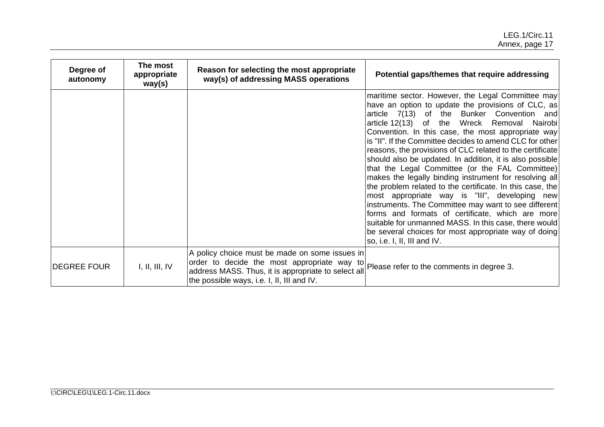| Degree of<br>autonomy | The most<br>appropriate<br>way(s) | Reason for selecting the most appropriate<br>way(s) of addressing MASS operations                                                                                                                  | Potential gaps/themes that require addressing                                                                                                                                                                                                                                                                                                                                                                                                                                                                                                                                                                                                                                                                                                                                                                                                                                                                                          |
|-----------------------|-----------------------------------|----------------------------------------------------------------------------------------------------------------------------------------------------------------------------------------------------|----------------------------------------------------------------------------------------------------------------------------------------------------------------------------------------------------------------------------------------------------------------------------------------------------------------------------------------------------------------------------------------------------------------------------------------------------------------------------------------------------------------------------------------------------------------------------------------------------------------------------------------------------------------------------------------------------------------------------------------------------------------------------------------------------------------------------------------------------------------------------------------------------------------------------------------|
|                       |                                   |                                                                                                                                                                                                    | maritime sector. However, the Legal Committee may<br>have an option to update the provisions of CLC, as<br>article 7(13) of the Bunker Convention and<br>article 12(13) of the Wreck Removal Nairobi<br>Convention. In this case, the most appropriate way<br>is "II". If the Committee decides to amend CLC for other<br>reasons, the provisions of CLC related to the certificate<br>should also be updated. In addition, it is also possible<br>that the Legal Committee (or the FAL Committee)<br>makes the legally binding instrument for resolving all<br>the problem related to the certificate. In this case, the<br>most appropriate way is "III", developing new<br>instruments. The Committee may want to see different<br>forms and formats of certificate, which are more<br>suitable for unmanned MASS. In this case, there would<br>be several choices for most appropriate way of doing<br>so, i.e. I, II, III and IV. |
| <b>DEGREE FOUR</b>    | I, II, III, IV                    | A policy choice must be made on some issues in<br>order to decide the most appropriate way to<br>address MASS. Thus, it is appropriate to select all<br>the possible ways, i.e. I, II, III and IV. | Please refer to the comments in degree 3.                                                                                                                                                                                                                                                                                                                                                                                                                                                                                                                                                                                                                                                                                                                                                                                                                                                                                              |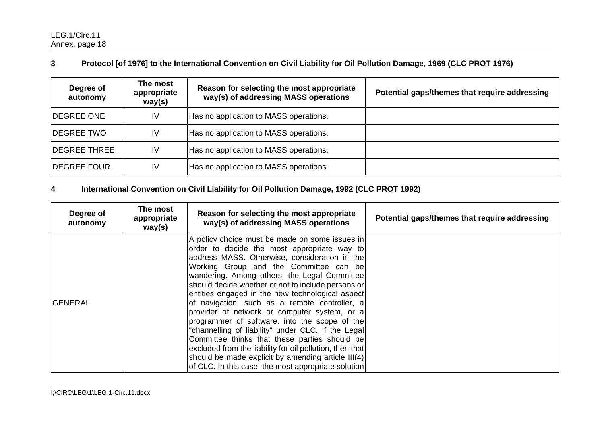# **3 Protocol [of 1976] to the International Convention on Civil Liability for Oil Pollution Damage, 1969 (CLC PROT 1976)**

| Degree of<br>autonomy | The most<br>appropriate<br>way(s) | Reason for selecting the most appropriate<br>way(s) of addressing MASS operations | Potential gaps/themes that require addressing |
|-----------------------|-----------------------------------|-----------------------------------------------------------------------------------|-----------------------------------------------|
| <b>IDEGREE ONE</b>    | IV                                | Has no application to MASS operations.                                            |                                               |
| <b>DEGREE TWO</b>     | IV                                | Has no application to MASS operations.                                            |                                               |
| <b>DEGREE THREE</b>   | IV                                | Has no application to MASS operations.                                            |                                               |
| <b>IDEGREE FOUR</b>   | IV                                | Has no application to MASS operations.                                            |                                               |

# **4 International Convention on Civil Liability for Oil Pollution Damage, 1992 (CLC PROT 1992)**

| Degree of<br>autonomy | The most<br>appropriate<br>way(s) | Reason for selecting the most appropriate<br>way(s) of addressing MASS operations                                                                                                                                                                                                                                                                                                                                                                                                                                                                                                                                                                                                                                                                                                    | Potential gaps/themes that require addressing |
|-----------------------|-----------------------------------|--------------------------------------------------------------------------------------------------------------------------------------------------------------------------------------------------------------------------------------------------------------------------------------------------------------------------------------------------------------------------------------------------------------------------------------------------------------------------------------------------------------------------------------------------------------------------------------------------------------------------------------------------------------------------------------------------------------------------------------------------------------------------------------|-----------------------------------------------|
| IGENERAL              |                                   | A policy choice must be made on some issues in<br>order to decide the most appropriate way to<br>address MASS. Otherwise, consideration in the<br>Working Group and the Committee can be<br>wandering. Among others, the Legal Committee<br>should decide whether or not to include persons or<br>entities engaged in the new technological aspect<br>of navigation, such as a remote controller, a<br>provider of network or computer system, or a<br>programmer of software, into the scope of the<br>"channelling of liability" under CLC. If the Legal<br>Committee thinks that these parties should be<br>excluded from the liability for oil pollution, then that<br>should be made explicit by amending article III(4)<br>of CLC. In this case, the most appropriate solution |                                               |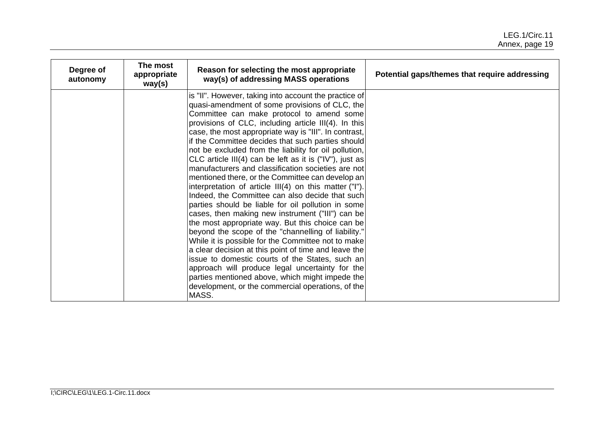| Degree of<br>autonomy | The most<br>appropriate<br>way(s) | Reason for selecting the most appropriate<br>way(s) of addressing MASS operations                                                                                                                                                                                                                                                                                                                                                                                                                                                                                                                                                                                                                                                                                                                                                                                                                                                                                                                                                                                                                                                                                                                                               | Potential gaps/themes that require addressing |
|-----------------------|-----------------------------------|---------------------------------------------------------------------------------------------------------------------------------------------------------------------------------------------------------------------------------------------------------------------------------------------------------------------------------------------------------------------------------------------------------------------------------------------------------------------------------------------------------------------------------------------------------------------------------------------------------------------------------------------------------------------------------------------------------------------------------------------------------------------------------------------------------------------------------------------------------------------------------------------------------------------------------------------------------------------------------------------------------------------------------------------------------------------------------------------------------------------------------------------------------------------------------------------------------------------------------|-----------------------------------------------|
|                       |                                   | is "II". However, taking into account the practice of<br>quasi-amendment of some provisions of CLC, the<br>Committee can make protocol to amend some<br>provisions of CLC, including article III(4). In this<br>case, the most appropriate way is "III". In contrast,<br>if the Committee decides that such parties should<br>not be excluded from the liability for oil pollution,<br>CLC article III(4) can be left as it is ("IV"), just as<br>manufacturers and classification societies are not<br>mentioned there, or the Committee can develop an<br>interpretation of article III(4) on this matter ("I").<br>Indeed, the Committee can also decide that such<br>parties should be liable for oil pollution in some<br>cases, then making new instrument ("III") can be<br>the most appropriate way. But this choice can be<br>beyond the scope of the "channelling of liability."<br>While it is possible for the Committee not to make<br>a clear decision at this point of time and leave the<br>issue to domestic courts of the States, such an<br>approach will produce legal uncertainty for the<br>parties mentioned above, which might impede the<br>development, or the commercial operations, of the<br>MASS. |                                               |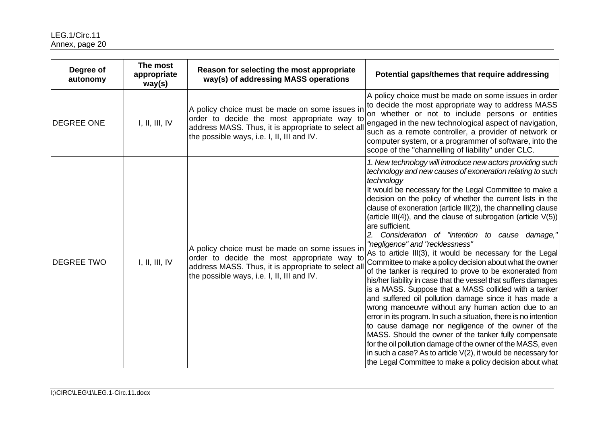| Degree of<br>autonomy | The most<br>appropriate<br>way(s) | Reason for selecting the most appropriate<br>way(s) of addressing MASS operations                                                                                                                  | Potential gaps/themes that require addressing                                                                                                                                                                                                                                                                                                                                                                                                                                                                                                                                                                                                                                                                                                                                                                                                                                                                                                                                                                                                                                                                                                                                                                                                                                                                                    |
|-----------------------|-----------------------------------|----------------------------------------------------------------------------------------------------------------------------------------------------------------------------------------------------|----------------------------------------------------------------------------------------------------------------------------------------------------------------------------------------------------------------------------------------------------------------------------------------------------------------------------------------------------------------------------------------------------------------------------------------------------------------------------------------------------------------------------------------------------------------------------------------------------------------------------------------------------------------------------------------------------------------------------------------------------------------------------------------------------------------------------------------------------------------------------------------------------------------------------------------------------------------------------------------------------------------------------------------------------------------------------------------------------------------------------------------------------------------------------------------------------------------------------------------------------------------------------------------------------------------------------------|
| <b>DEGREE ONE</b>     | I, II, III, IV                    | A policy choice must be made on some issues in<br>order to decide the most appropriate way to<br>address MASS. Thus, it is appropriate to select all<br>the possible ways, i.e. I, II, III and IV. | A policy choice must be made on some issues in order<br>to decide the most appropriate way to address MASS<br>on whether or not to include persons or entities<br>engaged in the new technological aspect of navigation,<br>such as a remote controller, a provider of network or<br>computer system, or a programmer of software, into the<br>scope of the "channelling of liability" under CLC.                                                                                                                                                                                                                                                                                                                                                                                                                                                                                                                                                                                                                                                                                                                                                                                                                                                                                                                                |
| <b>IDEGREE TWO</b>    | I, II, III, IV                    | A policy choice must be made on some issues in<br>order to decide the most appropriate way to<br>address MASS. Thus, it is appropriate to select all<br>the possible ways, i.e. I, II, III and IV. | 1. New technology will introduce new actors providing such<br>technology and new causes of exoneration relating to such<br>technology<br>It would be necessary for the Legal Committee to make a<br>decision on the policy of whether the current lists in the<br>clause of exoneration (article III(2)), the channelling clause<br>(article $III(4)$ ), and the clause of subrogation (article $V(5)$ )<br>are sufficient.<br>2. Consideration of "intention to cause damage,"<br>"negligence" and "recklessness"<br>As to article III(3), it would be necessary for the Legal<br>Committee to make a policy decision about what the owner<br>of the tanker is required to prove to be exonerated from<br>his/her liability in case that the vessel that suffers damages<br>is a MASS. Suppose that a MASS collided with a tanker<br>and suffered oil pollution damage since it has made a<br>wrong manoeuvre without any human action due to an<br>error in its program. In such a situation, there is no intention<br>to cause damage nor negligence of the owner of the<br>MASS. Should the owner of the tanker fully compensate<br>for the oil pollution damage of the owner of the MASS, even<br>in such a case? As to article V(2), it would be necessary for<br>the Legal Committee to make a policy decision about what |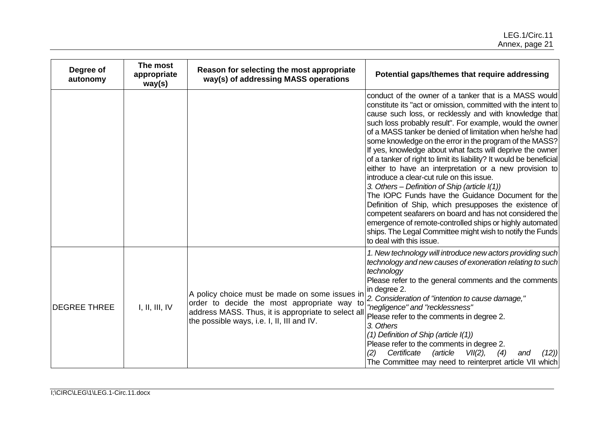| Degree of<br>autonomy | The most<br>appropriate<br>way(s) | Reason for selecting the most appropriate<br>way(s) of addressing MASS operations                                                                                                                  | Potential gaps/themes that require addressing                                                                                                                                                                                                                                                                                                                                                                                                                                                                                                                                                                                                                                                                                                                                                                                                                                                                                                                                                     |
|-----------------------|-----------------------------------|----------------------------------------------------------------------------------------------------------------------------------------------------------------------------------------------------|---------------------------------------------------------------------------------------------------------------------------------------------------------------------------------------------------------------------------------------------------------------------------------------------------------------------------------------------------------------------------------------------------------------------------------------------------------------------------------------------------------------------------------------------------------------------------------------------------------------------------------------------------------------------------------------------------------------------------------------------------------------------------------------------------------------------------------------------------------------------------------------------------------------------------------------------------------------------------------------------------|
|                       |                                   |                                                                                                                                                                                                    | conduct of the owner of a tanker that is a MASS would<br>constitute its "act or omission, committed with the intent to<br>cause such loss, or recklessly and with knowledge that<br>such loss probably result". For example, would the owner<br>of a MASS tanker be denied of limitation when he/she had<br>some knowledge on the error in the program of the MASS?<br>If yes, knowledge about what facts will deprive the owner<br>of a tanker of right to limit its liability? It would be beneficial<br>either to have an interpretation or a new provision to<br>introduce a clear-cut rule on this issue.<br>3. Others – Definition of Ship (article $I(1)$ )<br>The IOPC Funds have the Guidance Document for the<br>Definition of Ship, which presupposes the existence of<br>competent seafarers on board and has not considered the<br>emergence of remote-controlled ships or highly automated<br>ships. The Legal Committee might wish to notify the Funds<br>to deal with this issue. |
| <b>DEGREE THREE</b>   | I, II, III, IV                    | A policy choice must be made on some issues in<br>order to decide the most appropriate way to<br>address MASS. Thus, it is appropriate to select all<br>the possible ways, i.e. I, II, III and IV. | 1. New technology will introduce new actors providing such<br>technology and new causes of exoneration relating to such<br>technology<br>Please refer to the general comments and the comments<br>in degree 2.<br>2. Consideration of "intention to cause damage,"<br>"negligence" and "recklessness"<br>Please refer to the comments in degree 2.<br>3. Others<br>$(1)$ Definition of Ship (article $I(1)$ )<br>Please refer to the comments in degree 2.<br>(4)<br>Certificate<br><i>(article</i><br>$VII(2)$ ,<br>(12)<br>and<br>The Committee may need to reinterpret article VII which                                                                                                                                                                                                                                                                                                                                                                                                       |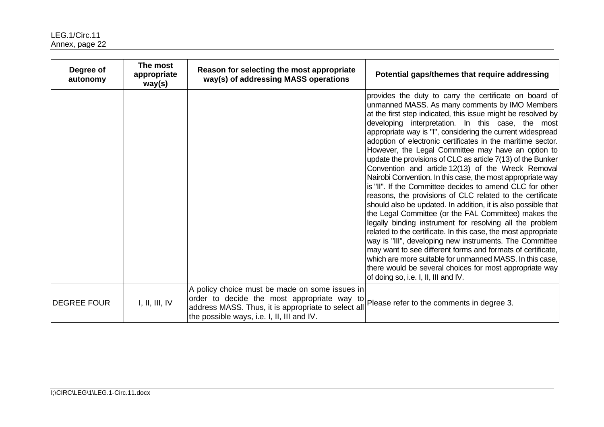| Degree of<br>autonomy | The most<br>appropriate<br>way(s) | Reason for selecting the most appropriate<br>way(s) of addressing MASS operations                                                                                                                  | Potential gaps/themes that require addressing                                                                                                                                                                                                                                                                                                                                                                                                                                                                                                                                                                                                                                                                                                                                                                                                                                                                                                                                                                                                                                                                                                                                                                                                                                |
|-----------------------|-----------------------------------|----------------------------------------------------------------------------------------------------------------------------------------------------------------------------------------------------|------------------------------------------------------------------------------------------------------------------------------------------------------------------------------------------------------------------------------------------------------------------------------------------------------------------------------------------------------------------------------------------------------------------------------------------------------------------------------------------------------------------------------------------------------------------------------------------------------------------------------------------------------------------------------------------------------------------------------------------------------------------------------------------------------------------------------------------------------------------------------------------------------------------------------------------------------------------------------------------------------------------------------------------------------------------------------------------------------------------------------------------------------------------------------------------------------------------------------------------------------------------------------|
|                       |                                   |                                                                                                                                                                                                    | provides the duty to carry the certificate on board of<br>unmanned MASS. As many comments by IMO Members<br>at the first step indicated, this issue might be resolved by<br>developing interpretation. In this case, the most<br>appropriate way is "I", considering the current widespread<br>adoption of electronic certificates in the maritime sector.<br>However, the Legal Committee may have an option to<br>update the provisions of CLC as article 7(13) of the Bunker<br>Convention and article 12(13) of the Wreck Removal<br>Nairobi Convention. In this case, the most appropriate way<br>is "II". If the Committee decides to amend CLC for other<br>reasons, the provisions of CLC related to the certificate<br>should also be updated. In addition, it is also possible that<br>the Legal Committee (or the FAL Committee) makes the<br>legally binding instrument for resolving all the problem<br>related to the certificate. In this case, the most appropriate<br>way is "III", developing new instruments. The Committee<br>may want to see different forms and formats of certificate,<br>which are more suitable for unmanned MASS. In this case,<br>there would be several choices for most appropriate way<br>of doing so, i.e. I, II, III and IV. |
| <b>IDEGREE FOUR</b>   | I, II, III, IV                    | A policy choice must be made on some issues in<br>order to decide the most appropriate way to<br>address MASS. Thus, it is appropriate to select all<br>the possible ways, i.e. I, II, III and IV. | Please refer to the comments in degree 3.                                                                                                                                                                                                                                                                                                                                                                                                                                                                                                                                                                                                                                                                                                                                                                                                                                                                                                                                                                                                                                                                                                                                                                                                                                    |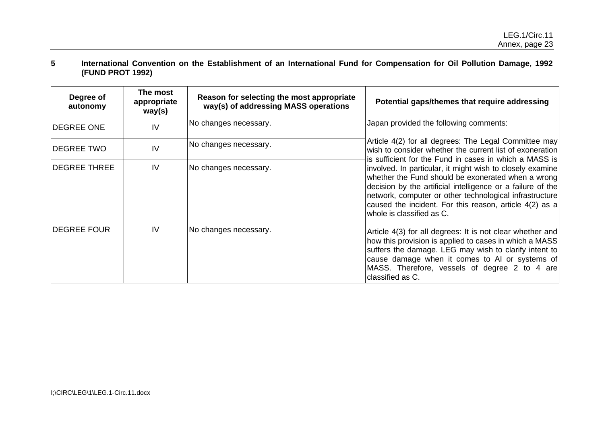### **5 International Convention on the Establishment of an International Fund for Compensation for Oil Pollution Damage, 1992 (FUND PROT 1992)**

| Degree of<br>autonomy | The most<br>appropriate<br>way(s) | Reason for selecting the most appropriate<br>way(s) of addressing MASS operations | Potential gaps/themes that require addressing                                                                                                                                                                                                                                                                                                                                                                                                                                                                                                                                 |
|-----------------------|-----------------------------------|-----------------------------------------------------------------------------------|-------------------------------------------------------------------------------------------------------------------------------------------------------------------------------------------------------------------------------------------------------------------------------------------------------------------------------------------------------------------------------------------------------------------------------------------------------------------------------------------------------------------------------------------------------------------------------|
| <b>DEGREE ONE</b>     | IV                                | No changes necessary.                                                             | Japan provided the following comments:                                                                                                                                                                                                                                                                                                                                                                                                                                                                                                                                        |
| <b>DEGREE TWO</b>     | IV                                | No changes necessary.                                                             | Article 4(2) for all degrees: The Legal Committee may<br>wish to consider whether the current list of exoneration<br>is sufficient for the Fund in cases in which a MASS is                                                                                                                                                                                                                                                                                                                                                                                                   |
| <b>DEGREE THREE</b>   | IV                                | No changes necessary.                                                             | involved. In particular, it might wish to closely examine                                                                                                                                                                                                                                                                                                                                                                                                                                                                                                                     |
| <b>DEGREE FOUR</b>    | IV                                | No changes necessary.                                                             | whether the Fund should be exonerated when a wrong<br>decision by the artificial intelligence or a failure of the<br>network, computer or other technological infrastructure<br>caused the incident. For this reason, article $4(2)$ as a<br>whole is classified as C.<br>Article 4(3) for all degrees: It is not clear whether and<br>how this provision is applied to cases in which a MASS<br>suffers the damage. LEG may wish to clarify intent to<br>cause damage when it comes to AI or systems of<br>MASS. Therefore, vessels of degree 2 to 4 are<br>classified as C. |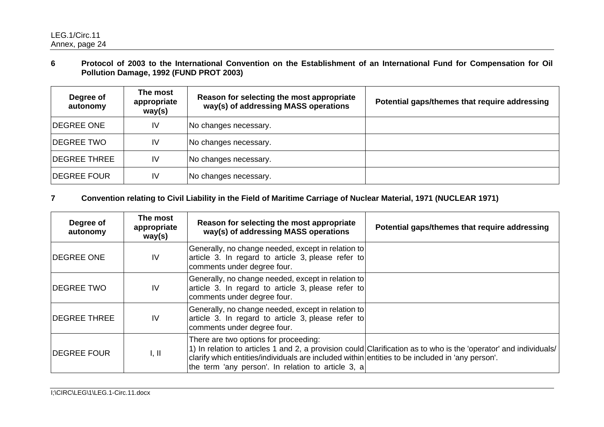**6 Protocol of 2003 to the International Convention on the Establishment of an International Fund for Compensation for Oil Pollution Damage, 1992 (FUND PROT 2003)**

| Degree of<br>autonomy | The most<br>appropriate<br>way(s) | Reason for selecting the most appropriate<br>way(s) of addressing MASS operations | Potential gaps/themes that require addressing |
|-----------------------|-----------------------------------|-----------------------------------------------------------------------------------|-----------------------------------------------|
| <b>DEGREE ONE</b>     | IV                                | No changes necessary.                                                             |                                               |
| <b>IDEGREE TWO</b>    | IV                                | No changes necessary.                                                             |                                               |
| <b>IDEGREE THREE</b>  | IV                                | No changes necessary.                                                             |                                               |
| <b>DEGREE FOUR</b>    | IV                                | No changes necessary.                                                             |                                               |

# **7 Convention relating to Civil Liability in the Field of Maritime Carriage of Nuclear Material, 1971 (NUCLEAR 1971)**

| Degree of<br>autonomy | The most<br>appropriate<br>way(s) | Reason for selecting the most appropriate<br>way(s) of addressing MASS operations                                                                                                              | Potential gaps/themes that require addressing                                                                    |
|-----------------------|-----------------------------------|------------------------------------------------------------------------------------------------------------------------------------------------------------------------------------------------|------------------------------------------------------------------------------------------------------------------|
| <b>IDEGREE ONE</b>    | IV                                | Generally, no change needed, except in relation to<br>article 3. In regard to article 3, please refer to<br>comments under degree four.                                                        |                                                                                                                  |
| <b>DEGREE TWO</b>     | IV                                | Generally, no change needed, except in relation to<br>article 3. In regard to article 3, please refer to<br>comments under degree four.                                                        |                                                                                                                  |
| <b>DEGREE THREE</b>   | IV                                | Generally, no change needed, except in relation to<br>article 3. In regard to article 3, please refer to<br>comments under degree four.                                                        |                                                                                                                  |
| <b>DEGREE FOUR</b>    | I, II                             | There are two options for proceeding:<br>clarify which entities/individuals are included within entities to be included in 'any person'.<br>the term 'any person'. In relation to article 3, a | 1) In relation to articles 1 and 2, a provision could Clarification as to who is the 'operator' and individuals/ |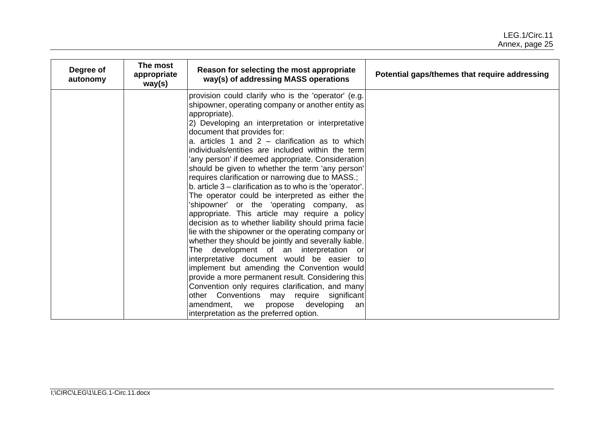| Degree of<br>autonomy | The most<br>appropriate<br>way(s) | Reason for selecting the most appropriate<br>way(s) of addressing MASS operations                                                                                                                                                                                                                                                                                                                                                                                                                                                                                                                                                                                                                                                                                                                                                                                                                                                                                                                                                                                                                                                                                                                                                                             | Potential gaps/themes that require addressing |
|-----------------------|-----------------------------------|---------------------------------------------------------------------------------------------------------------------------------------------------------------------------------------------------------------------------------------------------------------------------------------------------------------------------------------------------------------------------------------------------------------------------------------------------------------------------------------------------------------------------------------------------------------------------------------------------------------------------------------------------------------------------------------------------------------------------------------------------------------------------------------------------------------------------------------------------------------------------------------------------------------------------------------------------------------------------------------------------------------------------------------------------------------------------------------------------------------------------------------------------------------------------------------------------------------------------------------------------------------|-----------------------------------------------|
|                       |                                   | provision could clarify who is the 'operator' (e.g.<br>shipowner, operating company or another entity as<br>appropriate).<br>2) Developing an interpretation or interpretative<br>document that provides for:<br>a. articles 1 and 2 – clarification as to which<br>individuals/entities are included within the term<br>'any person' if deemed appropriate. Consideration<br>should be given to whether the term 'any person'<br>requires clarification or narrowing due to MASS.;<br>b. article 3 – clarification as to who is the 'operator'.<br>The operator could be interpreted as either the<br>'shipowner' or the 'operating company, as<br>appropriate. This article may require a policy<br>decision as to whether liability should prima facie<br>lie with the shipowner or the operating company or<br>whether they should be jointly and severally liable.<br>The development of an interpretation or<br>interpretative document would be easier to<br>implement but amending the Convention would<br>provide a more permanent result. Considering this<br>Convention only requires clarification, and many<br>other Conventions may require significant<br>developing<br>amendment, we propose<br>an<br>interpretation as the preferred option. |                                               |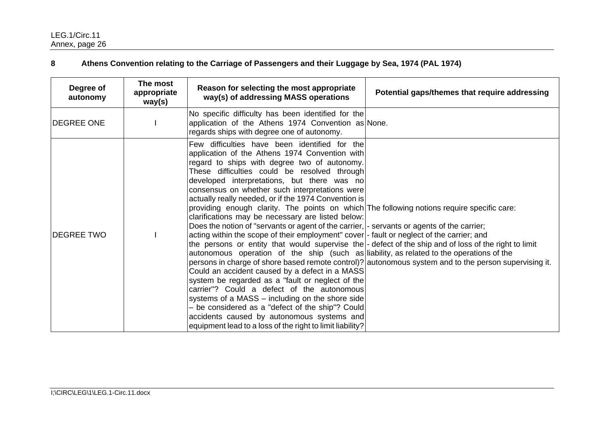# **8 Athens Convention relating to the Carriage of Passengers and their Luggage by Sea, 1974 (PAL 1974)**

| Degree of<br>autonomy | The most<br>appropriate<br>way(s) | Reason for selecting the most appropriate<br>way(s) of addressing MASS operations                                                                                                                                                                                                                                                                                                                                                                                                                                                                                                                                                                                                                                                                                                                                                                                                                                                                                                                                                                                                                                                                                                                                                                                                   | Potential gaps/themes that require addressing                                                         |
|-----------------------|-----------------------------------|-------------------------------------------------------------------------------------------------------------------------------------------------------------------------------------------------------------------------------------------------------------------------------------------------------------------------------------------------------------------------------------------------------------------------------------------------------------------------------------------------------------------------------------------------------------------------------------------------------------------------------------------------------------------------------------------------------------------------------------------------------------------------------------------------------------------------------------------------------------------------------------------------------------------------------------------------------------------------------------------------------------------------------------------------------------------------------------------------------------------------------------------------------------------------------------------------------------------------------------------------------------------------------------|-------------------------------------------------------------------------------------------------------|
| <b>DEGREE ONE</b>     |                                   | No specific difficulty has been identified for the<br>application of the Athens 1974 Convention as None.<br>regards ships with degree one of autonomy.                                                                                                                                                                                                                                                                                                                                                                                                                                                                                                                                                                                                                                                                                                                                                                                                                                                                                                                                                                                                                                                                                                                              |                                                                                                       |
| <b>IDEGREE TWO</b>    |                                   | Few difficulties have been identified for the<br>application of the Athens 1974 Convention with<br>regard to ships with degree two of autonomy.<br>These difficulties could be resolved through<br>developed interpretations, but there was no<br>consensus on whether such interpretations were<br>actually really needed, or if the 1974 Convention is<br>providing enough clarity. The points on which The following notions require specific care:<br>clarifications may be necessary are listed below:<br>Does the notion of "servants or agent of the carrier,  - servants or agents of the carrier;<br>acting within the scope of their employment" cover  - fault or neglect of the carrier; and<br>the persons or entity that would supervise the - defect of the ship and of loss of the right to limit<br>autonomous operation of the ship (such as liability, as related to the operations of the<br>Could an accident caused by a defect in a MASS<br>system be regarded as a "fault or neglect of the<br>carrier"? Could a defect of the autonomous<br>systems of a MASS – including on the shore side<br>- be considered as a "defect of the ship"? Could<br>accidents caused by autonomous systems and<br>equipment lead to a loss of the right to limit liability? | persons in charge of shore based remote control)? autonomous system and to the person supervising it. |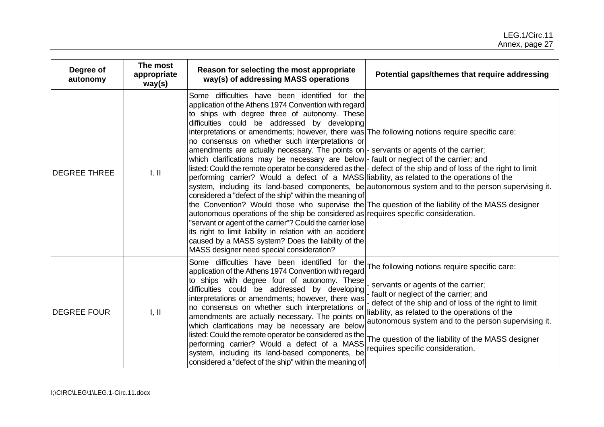| Degree of<br>autonomy | The most<br>appropriate<br>way(s) | Reason for selecting the most appropriate<br>way(s) of addressing MASS operations                                                                                                                                                                                                                                                                                                                                                                                                                                                                                                                                                                                                                                                                                                                                                                                                                                                                                                                                                                                                                                                                                                                                                                            | Potential gaps/themes that require addressing                                                                                                                                                                                                                                                                                                                                         |
|-----------------------|-----------------------------------|--------------------------------------------------------------------------------------------------------------------------------------------------------------------------------------------------------------------------------------------------------------------------------------------------------------------------------------------------------------------------------------------------------------------------------------------------------------------------------------------------------------------------------------------------------------------------------------------------------------------------------------------------------------------------------------------------------------------------------------------------------------------------------------------------------------------------------------------------------------------------------------------------------------------------------------------------------------------------------------------------------------------------------------------------------------------------------------------------------------------------------------------------------------------------------------------------------------------------------------------------------------|---------------------------------------------------------------------------------------------------------------------------------------------------------------------------------------------------------------------------------------------------------------------------------------------------------------------------------------------------------------------------------------|
| <b>DEGREE THREE</b>   | $\mathsf{L} \mathsf{II}$          | Some difficulties have been identified for the<br>application of the Athens 1974 Convention with regard<br>to ships with degree three of autonomy. These<br>difficulties could be addressed by developing<br>interpretations or amendments; however, there was The following notions require specific care:<br>no consensus on whether such interpretations or<br>amendments are actually necessary. The points on $\vert$ - servants or agents of the carrier;<br>which clarifications may be necessary are below - fault or neglect of the carrier; and<br>listed: Could the remote operator be considered as the - defect of the ship and of loss of the right to limit<br>performing carrier? Would a defect of a MASS liability, as related to the operations of the<br>considered a "defect of the ship" within the meaning of<br>the Convention? Would those who supervise the The question of the liability of the MASS designer<br>autonomous operations of the ship be considered as requires specific consideration.<br>"servant or agent of the carrier"? Could the carrier lose<br>its right to limit liability in relation with an accident<br>caused by a MASS system? Does the liability of the<br>MASS designer need special consideration? | system, including its land-based components, be autonomous system and to the person supervising it.                                                                                                                                                                                                                                                                                   |
| <b>DEGREE FOUR</b>    | $\mathsf{I}, \mathsf{II}$         | Some difficulties have been identified for the<br>application of the Athens 1974 Convention with regard<br>to ships with degree four of autonomy. These<br>difficulties could be addressed by developing<br>interpretations or amendments; however, there was<br>no consensus on whether such interpretations or<br>amendments are actually necessary. The points on<br>which clarifications may be necessary are below<br>listed: Could the remote operator be considered as the<br>performing carrier? Would a defect of a MASS<br>system, including its land-based components, be<br>considered a "defect of the ship" within the meaning of                                                                                                                                                                                                                                                                                                                                                                                                                                                                                                                                                                                                              | The following notions require specific care:<br>servants or agents of the carrier;<br>fault or neglect of the carrier; and<br>defect of the ship and of loss of the right to limit<br>liability, as related to the operations of the<br>autonomous system and to the person supervising it.<br>The question of the liability of the MASS designer<br>requires specific consideration. |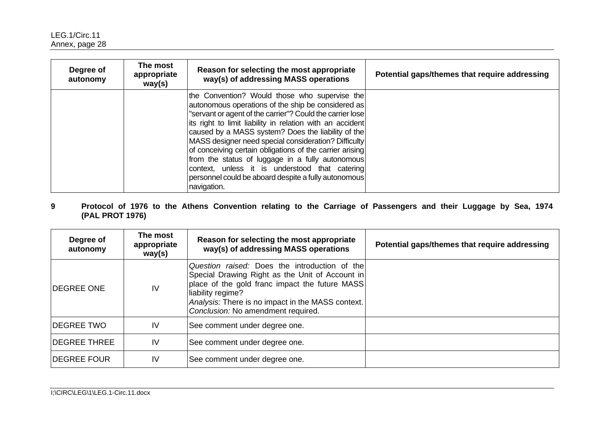| Degree of<br>autonomy | The most<br>appropriate<br>way(s) | Reason for selecting the most appropriate<br>way(s) of addressing MASS operations                                                                                                                                                                                                                                                                                                                                                                                                                                                                                                     | Potential gaps/themes that require addressing |
|-----------------------|-----------------------------------|---------------------------------------------------------------------------------------------------------------------------------------------------------------------------------------------------------------------------------------------------------------------------------------------------------------------------------------------------------------------------------------------------------------------------------------------------------------------------------------------------------------------------------------------------------------------------------------|-----------------------------------------------|
|                       |                                   | the Convention? Would those who supervise the<br>autonomous operations of the ship be considered as<br>"servant or agent of the carrier"? Could the carrier lose<br>lits right to limit liability in relation with an accident<br>caused by a MASS system? Does the liability of the<br>MASS designer need special consideration? Difficulty<br>of conceiving certain obligations of the carrier arising<br>from the status of luggage in a fully autonomous<br>context, unless it is understood that catering<br>personnel could be aboard despite a fully autonomous<br>navigation. |                                               |

#### **9 Protocol of 1976 to the Athens Convention relating to the Carriage of Passengers and their Luggage by Sea, 1974 (PAL PROT 1976)**

| Degree of<br>autonomy | The most<br>appropriate<br>way(s) | Reason for selecting the most appropriate<br>way(s) of addressing MASS operations                                                                                                                                                                                  | Potential gaps/themes that require addressing |
|-----------------------|-----------------------------------|--------------------------------------------------------------------------------------------------------------------------------------------------------------------------------------------------------------------------------------------------------------------|-----------------------------------------------|
| <b>IDEGREE ONE</b>    | IV                                | Question raised: Does the introduction of the<br>Special Drawing Right as the Unit of Account in<br>place of the gold franc impact the future MASS<br>liability regime?<br>Analysis: There is no impact in the MASS context.<br>Conclusion: No amendment required. |                                               |
| <b>IDEGREE TWO</b>    | IV                                | See comment under degree one.                                                                                                                                                                                                                                      |                                               |
| <b>IDEGREE THREE</b>  | IV                                | See comment under degree one.                                                                                                                                                                                                                                      |                                               |
| <b>DEGREE FOUR</b>    | IV                                | See comment under degree one.                                                                                                                                                                                                                                      |                                               |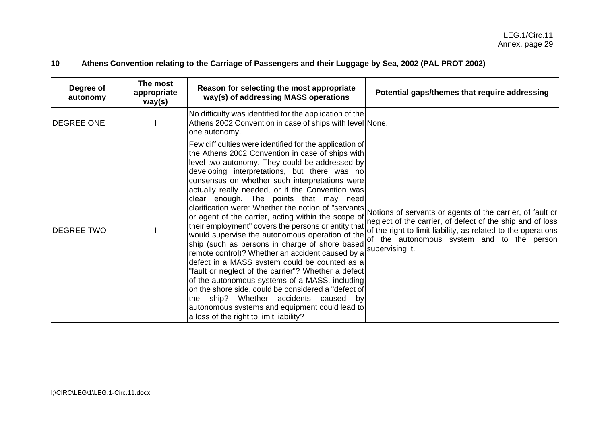# **10 Athens Convention relating to the Carriage of Passengers and their Luggage by Sea, 2002 (PAL PROT 2002)**

| Degree of<br>autonomy | The most<br>appropriate<br>way(s) | Reason for selecting the most appropriate<br>way(s) of addressing MASS operations                                                                                                                                                                                                                                                                                                                                                                                                                                                                                                                                                                                                                                                                                                                                                                                                                                                                                                                                                                  | Potential gaps/themes that require addressing                                                                                                                                                                                                            |
|-----------------------|-----------------------------------|----------------------------------------------------------------------------------------------------------------------------------------------------------------------------------------------------------------------------------------------------------------------------------------------------------------------------------------------------------------------------------------------------------------------------------------------------------------------------------------------------------------------------------------------------------------------------------------------------------------------------------------------------------------------------------------------------------------------------------------------------------------------------------------------------------------------------------------------------------------------------------------------------------------------------------------------------------------------------------------------------------------------------------------------------|----------------------------------------------------------------------------------------------------------------------------------------------------------------------------------------------------------------------------------------------------------|
| <b>DEGREE ONE</b>     |                                   | No difficulty was identified for the application of the<br>Athens 2002 Convention in case of ships with level None.<br>one autonomy.                                                                                                                                                                                                                                                                                                                                                                                                                                                                                                                                                                                                                                                                                                                                                                                                                                                                                                               |                                                                                                                                                                                                                                                          |
| <b>IDEGREE TWO</b>    |                                   | Few difficulties were identified for the application of<br>the Athens 2002 Convention in case of ships with<br>level two autonomy. They could be addressed by<br>developing interpretations, but there was no<br>consensus on whether such interpretations were<br>actually really needed, or if the Convention was<br>clear enough. The points that may need<br>clarification were: Whether the notion of "servants<br>or agent of the carrier, acting within the scope of<br>their employment" covers the persons or entity that<br>would supervise the autonomous operation of the<br>ship (such as persons in charge of shore based<br>remote control)? Whether an accident caused by a<br>defect in a MASS system could be counted as a<br>"fault or neglect of the carrier"? Whether a defect<br>of the autonomous systems of a MASS, including<br>on the shore side, could be considered a "defect of<br>the ship? Whether accidents caused by<br>autonomous systems and equipment could lead to<br>a loss of the right to limit liability? | Notions of servants or agents of the carrier, of fault or<br>neglect of the carrier, of defect of the ship and of loss<br>of the right to limit liability, as related to the operations<br>of the autonomous system and to the person<br>supervising it. |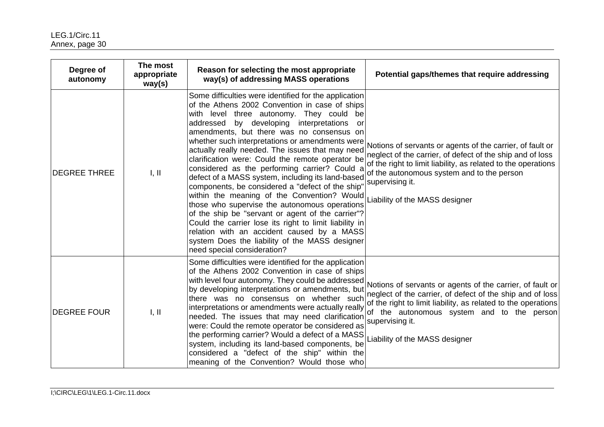| Degree of<br>autonomy | The most<br>appropriate<br>way(s) | Reason for selecting the most appropriate<br>way(s) of addressing MASS operations                                                                                                                                                                                                                                                                                                                                                                                                                                                                                                                                                                                                                                                                                                                                                                                                                                     | Potential gaps/themes that require addressing                                                                                                                                                                                                                                              |
|-----------------------|-----------------------------------|-----------------------------------------------------------------------------------------------------------------------------------------------------------------------------------------------------------------------------------------------------------------------------------------------------------------------------------------------------------------------------------------------------------------------------------------------------------------------------------------------------------------------------------------------------------------------------------------------------------------------------------------------------------------------------------------------------------------------------------------------------------------------------------------------------------------------------------------------------------------------------------------------------------------------|--------------------------------------------------------------------------------------------------------------------------------------------------------------------------------------------------------------------------------------------------------------------------------------------|
| <b>DEGREE THREE</b>   | I, II                             | Some difficulties were identified for the application<br>of the Athens 2002 Convention in case of ships<br>with level three autonomy. They could be<br>addressed by developing interpretations<br>-or<br>amendments, but there was no consensus on<br>whether such interpretations or amendments were<br>actually really needed. The issues that may need<br>clarification were: Could the remote operator be<br>considered as the performing carrier? Could a<br>defect of a MASS system, including its land-based<br>components, be considered a "defect of the ship"<br>within the meaning of the Convention? Would<br>those who supervise the autonomous operations<br>of the ship be "servant or agent of the carrier"?<br>Could the carrier lose its right to limit liability in<br>relation with an accident caused by a MASS<br>system Does the liability of the MASS designer<br>need special consideration? | Notions of servants or agents of the carrier, of fault or<br>neglect of the carrier, of defect of the ship and of loss<br>of the right to limit liability, as related to the operations<br>of the autonomous system and to the person<br>supervising it.<br>Liability of the MASS designer |
| <b>DEGREE FOUR</b>    | I, II                             | Some difficulties were identified for the application<br>of the Athens 2002 Convention in case of ships<br>with level four autonomy. They could be addressed<br>by developing interpretations or amendments, but<br>there was no consensus on whether such<br>interpretations or amendments were actually really<br>needed. The issues that may need clarification<br>were: Could the remote operator be considered as<br>the performing carrier? Would a defect of a MASS<br>system, including its land-based components, be<br>considered a "defect of the ship" within the<br>meaning of the Convention? Would those who                                                                                                                                                                                                                                                                                           | Notions of servants or agents of the carrier, of fault or<br>neglect of the carrier, of defect of the ship and of loss<br>of the right to limit liability, as related to the operations<br>of the autonomous system and to the person<br>supervising it.<br>Liability of the MASS designer |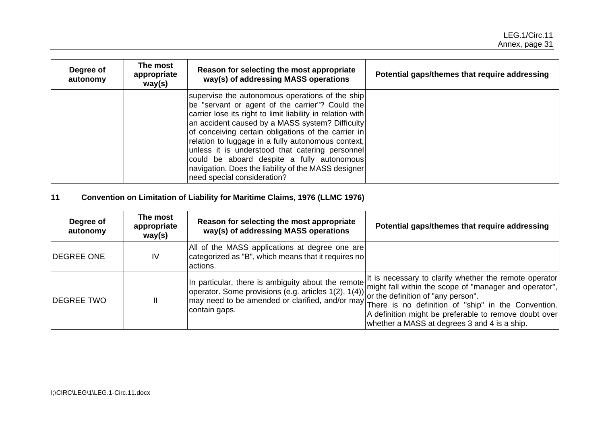| Degree of<br>autonomy | The most<br>appropriate<br>way(s) | Reason for selecting the most appropriate<br>way(s) of addressing MASS operations                                                                                                                                                                                                                                                                                                                                                                                                                                       | Potential gaps/themes that require addressing |
|-----------------------|-----------------------------------|-------------------------------------------------------------------------------------------------------------------------------------------------------------------------------------------------------------------------------------------------------------------------------------------------------------------------------------------------------------------------------------------------------------------------------------------------------------------------------------------------------------------------|-----------------------------------------------|
|                       |                                   | supervise the autonomous operations of the ship<br>be "servant or agent of the carrier"? Could the<br>carrier lose its right to limit liability in relation with<br>an accident caused by a MASS system? Difficulty<br>of conceiving certain obligations of the carrier in<br>relation to luggage in a fully autonomous context,<br>unless it is understood that catering personnel<br>could be aboard despite a fully autonomous<br>navigation. Does the liability of the MASS designer<br>need special consideration? |                                               |

# **11 Convention on Limitation of Liability for Maritime Claims, 1976 (LLMC 1976)**

| Degree of<br>autonomy | The most<br>appropriate<br>way(s) | Reason for selecting the most appropriate<br>way(s) of addressing MASS operations                                                                                                        | Potential gaps/themes that require addressing                                                                                                                                                                                                                                                                             |
|-----------------------|-----------------------------------|------------------------------------------------------------------------------------------------------------------------------------------------------------------------------------------|---------------------------------------------------------------------------------------------------------------------------------------------------------------------------------------------------------------------------------------------------------------------------------------------------------------------------|
| <b>DEGREE ONE</b>     | IV                                | All of the MASS applications at degree one are<br>categorized as "B", which means that it requires no<br>actions.                                                                        |                                                                                                                                                                                                                                                                                                                           |
| <b>DEGREE TWO</b>     | Ш                                 | In particular, there is ambiguity about the remote<br>  operator. Some provisions (e.g. articles $1(2)$ , $1(4)$ )  <br>may need to be amended or clarified, and/or may<br>contain gaps. | It is necessary to clarify whether the remote operator<br>/ might fall within the scope of "manager and operator", <br>or the definition of "any person".<br>There is no definition of "ship" in the Convention.<br>A definition might be preferable to remove doubt over<br>whether a MASS at degrees 3 and 4 is a ship. |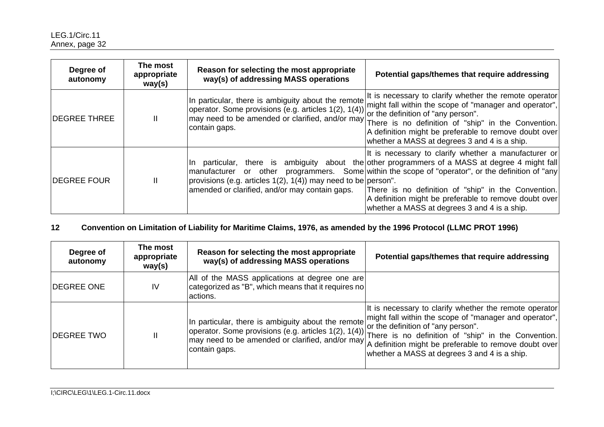| Degree of<br>autonomy | The most<br>appropriate<br>way(s) | Reason for selecting the most appropriate<br>way(s) of addressing MASS operations                                                                                                                                                              | Potential gaps/themes that require addressing                                                                                                                                                                                                                                                                                                                                                                                                |
|-----------------------|-----------------------------------|------------------------------------------------------------------------------------------------------------------------------------------------------------------------------------------------------------------------------------------------|----------------------------------------------------------------------------------------------------------------------------------------------------------------------------------------------------------------------------------------------------------------------------------------------------------------------------------------------------------------------------------------------------------------------------------------------|
| <b>DEGREE THREE</b>   | $\mathbf{I}$                      | In particular, there is ambiguity about the remote<br>operator. Some provisions (e.g. articles 1(2), 1(4)) ringin ran when the second operator. Some provisions (e.g. articles 1(2), 1(4)) or the definition of "any person".<br>contain gaps. | It is necessary to clarify whether the remote operator<br> might fall within the scope of "manager and operator", <br>may need to be amended or clarified, and/or may There is no definition of "ship" in the Convention.<br>A definition might be preferable to remove doubt over<br>whether a MASS at degrees 3 and 4 is a ship.                                                                                                           |
| <b>DEGREE FOUR</b>    | Ш                                 | provisions (e.g. articles 1(2), 1(4)) may need to be person".<br>amended or clarified, and/or may contain gaps.                                                                                                                                | It is necessary to clarify whether a manufacturer or<br> In particular, there is ambiguity about the other programmers of a MASS at degree 4 might fall<br>$\vert$ manufacturer or other programmers. Some $\vert$ within the scope of "operator", or the definition of "any<br>There is no definition of "ship" in the Convention.<br>A definition might be preferable to remove doubt over<br>whether a MASS at degrees 3 and 4 is a ship. |

# **12 Convention on Limitation of Liability for Maritime Claims, 1976, as amended by the 1996 Protocol (LLMC PROT 1996)**

| Degree of<br>autonomy | The most<br>appropriate<br>way(s) | Reason for selecting the most appropriate<br>way(s) of addressing MASS operations                                      | Potential gaps/themes that require addressing                                                                                                                                                                                                                                                                                                                                     |
|-----------------------|-----------------------------------|------------------------------------------------------------------------------------------------------------------------|-----------------------------------------------------------------------------------------------------------------------------------------------------------------------------------------------------------------------------------------------------------------------------------------------------------------------------------------------------------------------------------|
| <b>DEGREE ONE</b>     | IV                                | All of the MASS applications at degree one are<br>categorized as "B", which means that it requires no<br>actions.      |                                                                                                                                                                                                                                                                                                                                                                                   |
| <b>IDEGREE TWO</b>    | $\mathbf{I}$                      | In particular, there is ambiguity about the remote<br>may need to be amended or clarified, and/or may<br>contain gaps. | It is necessary to clarify whether the remote operator<br>might fall within the scope of "manager and operator",<br>or the definition of "any person".<br>operator. Some provisions (e.g. articles $1(2)$ , $1(4)$ ) There is no definition of "ship" in the Convention.<br>A definition might be preferable to remove doubt over<br>whether a MASS at degrees 3 and 4 is a ship. |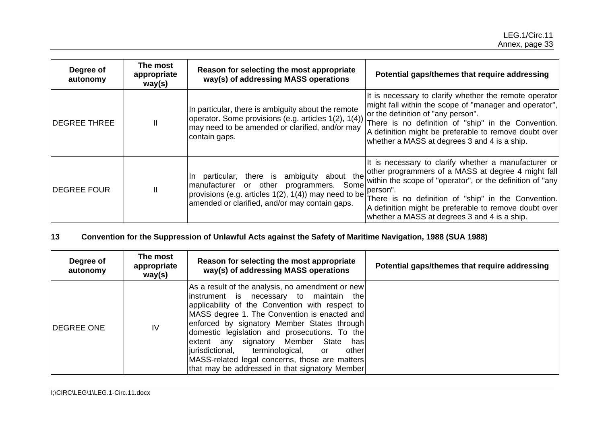| Degree of<br>autonomy | The most<br>appropriate<br>way(s) | Reason for selecting the most appropriate<br>way(s) of addressing MASS operations                                                                                                                      | Potential gaps/themes that require addressing                                                                                                                                                                                                                                                                                                       |
|-----------------------|-----------------------------------|--------------------------------------------------------------------------------------------------------------------------------------------------------------------------------------------------------|-----------------------------------------------------------------------------------------------------------------------------------------------------------------------------------------------------------------------------------------------------------------------------------------------------------------------------------------------------|
| <b>DEGREE THREE</b>   | Ш                                 | In particular, there is ambiguity about the remote<br>operator. Some provisions (e.g. articles 1(2), 1(4))<br>may need to be amended or clarified, and/or may<br>contain gaps.                         | It is necessary to clarify whether the remote operator<br>might fall within the scope of "manager and operator",<br>or the definition of "any person".<br>There is no definition of "ship" in the Convention.<br>A definition might be preferable to remove doubt over<br>whether a MASS at degrees 3 and 4 is a ship.                              |
| <b>DEGREE FOUR</b>    | Ш                                 | In particular, there is ambiguity about the<br>manufacturer or other programmers. Some<br>provisions (e.g. articles $1(2)$ , $1(4)$ ) may need to be<br>amended or clarified, and/or may contain gaps. | It is necessary to clarify whether a manufacturer or<br>other programmers of a MASS at degree 4 might fall<br>within the scope of "operator", or the definition of "any<br>person".<br>There is no definition of "ship" in the Convention.<br>A definition might be preferable to remove doubt over<br>whether a MASS at degrees 3 and 4 is a ship. |

# **13 Convention for the Suppression of Unlawful Acts against the Safety of Maritime Navigation, 1988 (SUA 1988)**

| Degree of<br>autonomy | The most<br>appropriate<br>way(s) | Reason for selecting the most appropriate<br>way(s) of addressing MASS operations                                                                                                                                                                                                                                                                                                                                                                                                           | Potential gaps/themes that require addressing |
|-----------------------|-----------------------------------|---------------------------------------------------------------------------------------------------------------------------------------------------------------------------------------------------------------------------------------------------------------------------------------------------------------------------------------------------------------------------------------------------------------------------------------------------------------------------------------------|-----------------------------------------------|
| <b>DEGREE ONE</b>     | IV                                | As a result of the analysis, no amendment or new<br>linstrument is necessary to maintain the<br>applicability of the Convention with respect to<br>MASS degree 1. The Convention is enacted and<br>enforced by signatory Member States through<br>domestic legislation and prosecutions. To the<br>extent any signatory Member State has<br>jurisdictional, terminological, or<br>other<br>MASS-related legal concerns, those are matters<br>that may be addressed in that signatory Member |                                               |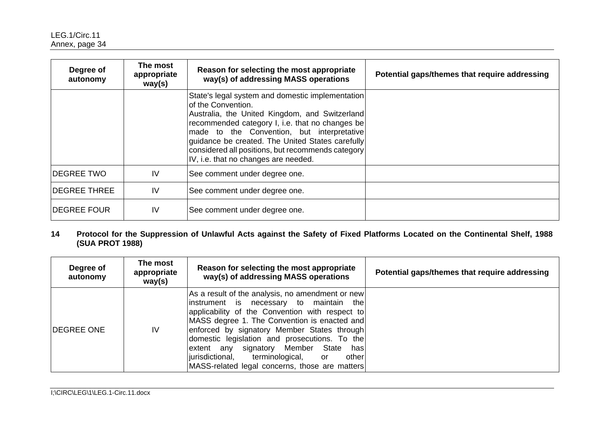| Degree of<br>autonomy | The most<br>appropriate<br>way(s) | Reason for selecting the most appropriate<br>way(s) of addressing MASS operations                                                                                                                                                                                                                                                                                          | Potential gaps/themes that require addressing |
|-----------------------|-----------------------------------|----------------------------------------------------------------------------------------------------------------------------------------------------------------------------------------------------------------------------------------------------------------------------------------------------------------------------------------------------------------------------|-----------------------------------------------|
|                       |                                   | State's legal system and domestic implementation<br>of the Convention.<br>Australia, the United Kingdom, and Switzerland<br>recommended category I, i.e. that no changes be<br>made to the Convention, but interpretative<br>quidance be created. The United States carefully<br>considered all positions, but recommends category<br>IV, i.e. that no changes are needed. |                                               |
| <b>IDEGREE TWO</b>    | IV                                | See comment under degree one.                                                                                                                                                                                                                                                                                                                                              |                                               |
| <b>DEGREE THREE</b>   | IV                                | See comment under degree one.                                                                                                                                                                                                                                                                                                                                              |                                               |
| <b>DEGREE FOUR</b>    | IV                                | See comment under degree one.                                                                                                                                                                                                                                                                                                                                              |                                               |

#### **14 Protocol for the Suppression of Unlawful Acts against the Safety of Fixed Platforms Located on the Continental Shelf, 1988 (SUA PROT 1988)**

| Degree of<br>autonomy | The most<br>appropriate<br>way(s) | Reason for selecting the most appropriate<br>way(s) of addressing MASS operations                                                                                                                                                                                                                                                                                                                                                           | Potential gaps/themes that require addressing |
|-----------------------|-----------------------------------|---------------------------------------------------------------------------------------------------------------------------------------------------------------------------------------------------------------------------------------------------------------------------------------------------------------------------------------------------------------------------------------------------------------------------------------------|-----------------------------------------------|
| <b>DEGREE ONE</b>     | IV                                | As a result of the analysis, no amendment or new<br>instrument is necessary to maintain the<br>applicability of the Convention with respect to<br>MASS degree 1. The Convention is enacted and<br>enforced by signatory Member States through<br>domestic legislation and prosecutions. To the<br>extent any signatory Member State has<br>jurisdictional, terminological,<br>other<br>or<br>MASS-related legal concerns, those are matters |                                               |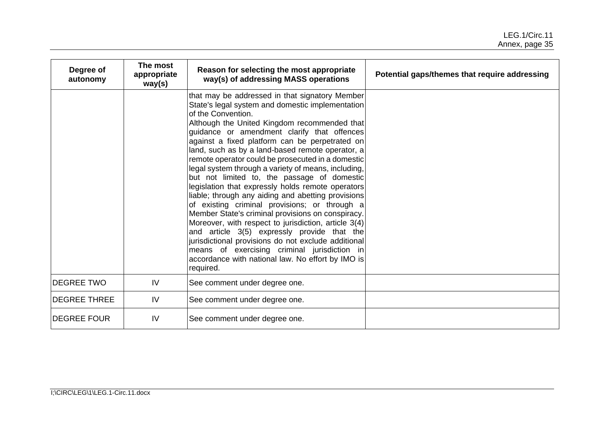| Degree of<br>autonomy | The most<br>appropriate<br>way(s) | Reason for selecting the most appropriate<br>way(s) of addressing MASS operations                                                                                                                                                                                                                                                                                                                                                                                                                                                                                                                                                                                                                                                                                                                                                                                                                                                                                                         | Potential gaps/themes that require addressing |
|-----------------------|-----------------------------------|-------------------------------------------------------------------------------------------------------------------------------------------------------------------------------------------------------------------------------------------------------------------------------------------------------------------------------------------------------------------------------------------------------------------------------------------------------------------------------------------------------------------------------------------------------------------------------------------------------------------------------------------------------------------------------------------------------------------------------------------------------------------------------------------------------------------------------------------------------------------------------------------------------------------------------------------------------------------------------------------|-----------------------------------------------|
|                       |                                   | that may be addressed in that signatory Member<br>State's legal system and domestic implementation<br>of the Convention.<br>Although the United Kingdom recommended that<br>guidance or amendment clarify that offences<br>against a fixed platform can be perpetrated on<br>land, such as by a land-based remote operator, a<br>remote operator could be prosecuted in a domestic<br>legal system through a variety of means, including,<br>but not limited to, the passage of domestic<br>legislation that expressly holds remote operators<br>liable; through any aiding and abetting provisions<br>of existing criminal provisions; or through a<br>Member State's criminal provisions on conspiracy.<br>Moreover, with respect to jurisdiction, article 3(4)<br>and article 3(5) expressly provide that the<br>jurisdictional provisions do not exclude additional<br>means of exercising criminal jurisdiction in<br>accordance with national law. No effort by IMO is<br>required. |                                               |
| <b>DEGREE TWO</b>     | IV                                | See comment under degree one.                                                                                                                                                                                                                                                                                                                                                                                                                                                                                                                                                                                                                                                                                                                                                                                                                                                                                                                                                             |                                               |
| <b>DEGREE THREE</b>   | IV                                | See comment under degree one.                                                                                                                                                                                                                                                                                                                                                                                                                                                                                                                                                                                                                                                                                                                                                                                                                                                                                                                                                             |                                               |
| <b>IDEGREE FOUR</b>   | IV                                | See comment under degree one.                                                                                                                                                                                                                                                                                                                                                                                                                                                                                                                                                                                                                                                                                                                                                                                                                                                                                                                                                             |                                               |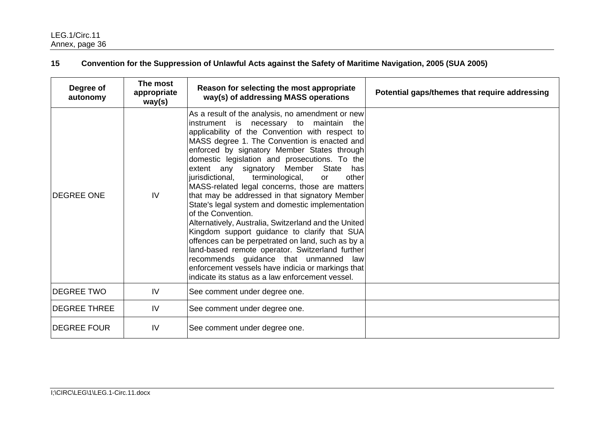# **15 Convention for the Suppression of Unlawful Acts against the Safety of Maritime Navigation, 2005 (SUA 2005)**

| Degree of<br>autonomy | The most<br>appropriate<br>way(s) | Reason for selecting the most appropriate<br>way(s) of addressing MASS operations                                                                                                                                                                                                                                                                                                                                                                                                                                                                                                                                                                                                                                                                                                                                                                                                                                                         | Potential gaps/themes that require addressing |
|-----------------------|-----------------------------------|-------------------------------------------------------------------------------------------------------------------------------------------------------------------------------------------------------------------------------------------------------------------------------------------------------------------------------------------------------------------------------------------------------------------------------------------------------------------------------------------------------------------------------------------------------------------------------------------------------------------------------------------------------------------------------------------------------------------------------------------------------------------------------------------------------------------------------------------------------------------------------------------------------------------------------------------|-----------------------------------------------|
| <b>DEGREE ONE</b>     | IV                                | As a result of the analysis, no amendment or new<br>instrument is necessary to maintain the<br>applicability of the Convention with respect to<br>MASS degree 1. The Convention is enacted and<br>enforced by signatory Member States through<br>domestic legislation and prosecutions. To the<br>extent any signatory Member State has<br>jurisdictional, terminological,<br>other<br>or<br>MASS-related legal concerns, those are matters<br>that may be addressed in that signatory Member<br>State's legal system and domestic implementation<br>of the Convention.<br>Alternatively, Australia, Switzerland and the United<br>Kingdom support guidance to clarify that SUA<br>offences can be perpetrated on land, such as by a<br>land-based remote operator. Switzerland further<br>recommends guidance that unmanned law<br>enforcement vessels have indicia or markings that<br>indicate its status as a law enforcement vessel. |                                               |
| <b>DEGREE TWO</b>     | IV                                | See comment under degree one.                                                                                                                                                                                                                                                                                                                                                                                                                                                                                                                                                                                                                                                                                                                                                                                                                                                                                                             |                                               |
| <b>DEGREE THREE</b>   | IV                                | See comment under degree one.                                                                                                                                                                                                                                                                                                                                                                                                                                                                                                                                                                                                                                                                                                                                                                                                                                                                                                             |                                               |
| <b>DEGREE FOUR</b>    | IV                                | See comment under degree one.                                                                                                                                                                                                                                                                                                                                                                                                                                                                                                                                                                                                                                                                                                                                                                                                                                                                                                             |                                               |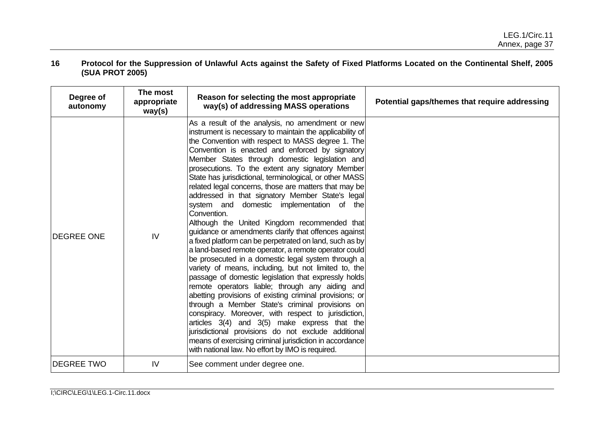| 16 | Protocol for the Suppression of Unlawful Acts against the Safety of Fixed Platforms Located on the Continental Shelf, 2005 |
|----|----------------------------------------------------------------------------------------------------------------------------|
|    | <b>(SUA PROT 2005)</b>                                                                                                     |

| Degree of<br>autonomy | The most<br>appropriate<br>way(s) | Reason for selecting the most appropriate<br>way(s) of addressing MASS operations                                                                                                                                                                                                                                                                                                                                                                                                                                                                                                                                                                                                                                                                                                                                                                                                                                                                                                                                                                                                                                                                                                                                                                                                                                                                                                                                  | Potential gaps/themes that require addressing |
|-----------------------|-----------------------------------|--------------------------------------------------------------------------------------------------------------------------------------------------------------------------------------------------------------------------------------------------------------------------------------------------------------------------------------------------------------------------------------------------------------------------------------------------------------------------------------------------------------------------------------------------------------------------------------------------------------------------------------------------------------------------------------------------------------------------------------------------------------------------------------------------------------------------------------------------------------------------------------------------------------------------------------------------------------------------------------------------------------------------------------------------------------------------------------------------------------------------------------------------------------------------------------------------------------------------------------------------------------------------------------------------------------------------------------------------------------------------------------------------------------------|-----------------------------------------------|
| <b>DEGREE ONE</b>     | IV                                | As a result of the analysis, no amendment or new<br>instrument is necessary to maintain the applicability of<br>the Convention with respect to MASS degree 1. The<br>Convention is enacted and enforced by signatory<br>Member States through domestic legislation and<br>prosecutions. To the extent any signatory Member<br>State has jurisdictional, terminological, or other MASS<br>related legal concerns, those are matters that may be<br>addressed in that signatory Member State's legal<br>system and domestic implementation of the<br>Convention.<br>Although the United Kingdom recommended that<br>guidance or amendments clarify that offences against<br>a fixed platform can be perpetrated on land, such as by<br>a land-based remote operator, a remote operator could<br>be prosecuted in a domestic legal system through a<br>variety of means, including, but not limited to, the<br>passage of domestic legislation that expressly holds<br>remote operators liable; through any aiding and<br>abetting provisions of existing criminal provisions; or<br>through a Member State's criminal provisions on<br>conspiracy. Moreover, with respect to jurisdiction,<br>articles $3(4)$ and $3(5)$ make express that the<br>jurisdictional provisions do not exclude additional<br>means of exercising criminal jurisdiction in accordance<br>with national law. No effort by IMO is required. |                                               |
| <b>DEGREE TWO</b>     | IV                                | See comment under degree one.                                                                                                                                                                                                                                                                                                                                                                                                                                                                                                                                                                                                                                                                                                                                                                                                                                                                                                                                                                                                                                                                                                                                                                                                                                                                                                                                                                                      |                                               |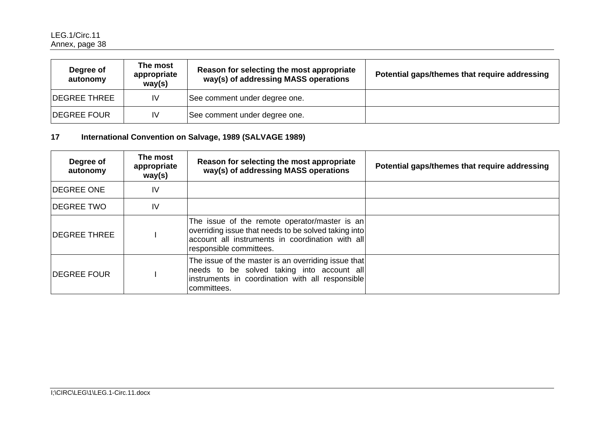| Degree of<br>autonomy | The most<br>appropriate<br>way(s) | Reason for selecting the most appropriate<br>way(s) of addressing MASS operations | Potential gaps/themes that require addressing |
|-----------------------|-----------------------------------|-----------------------------------------------------------------------------------|-----------------------------------------------|
| <b>IDEGREE THREE</b>  | IV                                | See comment under degree one.                                                     |                                               |
| <b>DEGREE FOUR</b>    | IV                                | See comment under degree one.                                                     |                                               |

# **17 International Convention on Salvage, 1989 (SALVAGE 1989)**

| Degree of<br>autonomy | The most<br>appropriate<br>way(s) | Reason for selecting the most appropriate<br>way(s) of addressing MASS operations                                                                                                    | Potential gaps/themes that require addressing |
|-----------------------|-----------------------------------|--------------------------------------------------------------------------------------------------------------------------------------------------------------------------------------|-----------------------------------------------|
| <b>IDEGREE ONE</b>    | IV                                |                                                                                                                                                                                      |                                               |
| <b>DEGREE TWO</b>     | IV                                |                                                                                                                                                                                      |                                               |
| <b>IDEGREE THREE</b>  |                                   | The issue of the remote operator/master is an<br>overriding issue that needs to be solved taking into<br>account all instruments in coordination with all<br>responsible committees. |                                               |
| <b>DEGREE FOUR</b>    |                                   | The issue of the master is an overriding issue that<br>needs to be solved taking into account all<br>instruments in coordination with all responsible<br>committees.                 |                                               |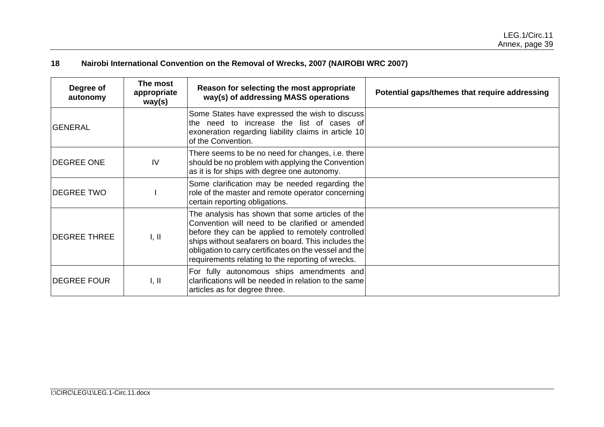# **18 Nairobi International Convention on the Removal of Wrecks, 2007 (NAIROBI WRC 2007)**

| Degree of<br>autonomy | The most<br>appropriate<br>way(s) | Reason for selecting the most appropriate<br>way(s) of addressing MASS operations                                                                                                                                                                                                                                              | Potential gaps/themes that require addressing |
|-----------------------|-----------------------------------|--------------------------------------------------------------------------------------------------------------------------------------------------------------------------------------------------------------------------------------------------------------------------------------------------------------------------------|-----------------------------------------------|
| <b>GENERAL</b>        |                                   | Some States have expressed the wish to discuss<br>the need to increase the list of cases of<br>exoneration regarding liability claims in article 10<br>of the Convention.                                                                                                                                                      |                                               |
| <b>DEGREE ONE</b>     | IV                                | There seems to be no need for changes, i.e. there<br>should be no problem with applying the Convention<br>as it is for ships with degree one autonomy.                                                                                                                                                                         |                                               |
| <b>DEGREE TWO</b>     |                                   | Some clarification may be needed regarding the<br>role of the master and remote operator concerning<br>certain reporting obligations.                                                                                                                                                                                          |                                               |
| <b>DEGREE THREE</b>   | I, II                             | The analysis has shown that some articles of the<br>Convention will need to be clarified or amended<br>before they can be applied to remotely controlled<br>ships without seafarers on board. This includes the<br>obligation to carry certificates on the vessel and the<br>requirements relating to the reporting of wrecks. |                                               |
| <b>DEGREE FOUR</b>    | I, II                             | For fully autonomous ships amendments and<br>clarifications will be needed in relation to the same<br>articles as for degree three.                                                                                                                                                                                            |                                               |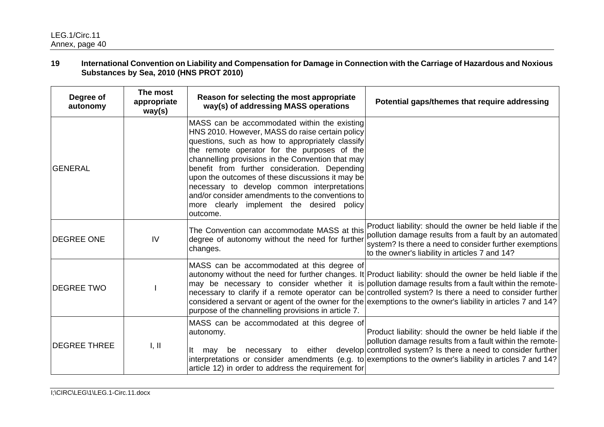**19 International Convention on Liability and Compensation for Damage in Connection with the Carriage of Hazardous and Noxious Substances by Sea, 2010 (HNS PROT 2010)**

| Degree of<br>autonomy                                                                                                                                                                                                                                                          | The most<br>appropriate<br>way(s) | Reason for selecting the most appropriate<br>way(s) of addressing MASS operations                                                                                                                                                                                                                                                                                                                                                                                                                                        | Potential gaps/themes that require addressing                                                                                                                                                                                                                                                                                                                                                                                                 |
|--------------------------------------------------------------------------------------------------------------------------------------------------------------------------------------------------------------------------------------------------------------------------------|-----------------------------------|--------------------------------------------------------------------------------------------------------------------------------------------------------------------------------------------------------------------------------------------------------------------------------------------------------------------------------------------------------------------------------------------------------------------------------------------------------------------------------------------------------------------------|-----------------------------------------------------------------------------------------------------------------------------------------------------------------------------------------------------------------------------------------------------------------------------------------------------------------------------------------------------------------------------------------------------------------------------------------------|
| <b>GENERAL</b>                                                                                                                                                                                                                                                                 |                                   | MASS can be accommodated within the existing<br>HNS 2010. However, MASS do raise certain policy<br>questions, such as how to appropriately classify<br>the remote operator for the purposes of the<br>channelling provisions in the Convention that may<br>benefit from further consideration. Depending<br>upon the outcomes of these discussions it may be<br>necessary to develop common interpretations<br>and/or consider amendments to the conventions to<br>more clearly implement the desired policy<br>outcome. |                                                                                                                                                                                                                                                                                                                                                                                                                                               |
| <b>DEGREE ONE</b>                                                                                                                                                                                                                                                              | IV                                | The Convention can accommodate MASS at this<br>degree of autonomy without the need for further<br>changes.                                                                                                                                                                                                                                                                                                                                                                                                               | Product liability: should the owner be held liable if the<br>pollution damage results from a fault by an automated<br>system? Is there a need to consider further exemptions<br>to the owner's liability in articles 7 and 14?                                                                                                                                                                                                                |
| <b>DEGREE TWO</b>                                                                                                                                                                                                                                                              |                                   | MASS can be accommodated at this degree of<br>purpose of the channelling provisions in article 7.                                                                                                                                                                                                                                                                                                                                                                                                                        | autonomy without the need for further changes. It Product liability: should the owner be held liable if the<br>may be necessary to consider whether it is pollution damage results from a fault within the remote-<br>necessary to clarify if a remote operator can be controlled system? Is there a need to consider further<br>considered a servant or agent of the owner for the exemptions to the owner's liability in articles 7 and 14? |
| MASS can be accommodated at this degree of<br>autonomy.<br><b>DEGREE THREE</b><br>I, II<br>It<br>be<br>may<br>interpretations or consider amendments (e.g. to exemptions to the owner's liability in articles 7 and 14?<br>article 12) in order to address the requirement for |                                   | Product liability: should the owner be held liable if the<br>pollution damage results from a fault within the remote-<br>necessary to either develop controlled system? Is there a need to consider further                                                                                                                                                                                                                                                                                                              |                                                                                                                                                                                                                                                                                                                                                                                                                                               |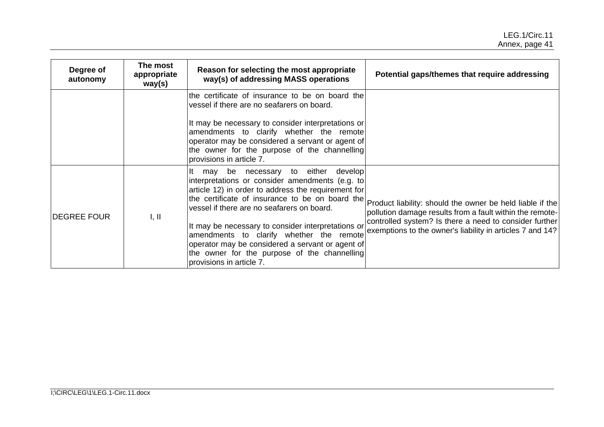| Degree of<br>autonomy                                                                                                                                                                                                          | The most<br>appropriate<br>way(s) | Reason for selecting the most appropriate<br>way(s) of addressing MASS operations                                                                                                                                                                | Potential gaps/themes that require addressing                                                                         |
|--------------------------------------------------------------------------------------------------------------------------------------------------------------------------------------------------------------------------------|-----------------------------------|--------------------------------------------------------------------------------------------------------------------------------------------------------------------------------------------------------------------------------------------------|-----------------------------------------------------------------------------------------------------------------------|
|                                                                                                                                                                                                                                |                                   | the certificate of insurance to be on board the<br>vessel if there are no seafarers on board.                                                                                                                                                    |                                                                                                                       |
| It may be necessary to consider interpretations or<br>amendments to clarify whether the remote<br>operator may be considered a servant or agent of<br>the owner for the purpose of the channelling<br>provisions in article 7. |                                   |                                                                                                                                                                                                                                                  |                                                                                                                       |
| <b>DEGREE FOUR</b>                                                                                                                                                                                                             | I, II                             | may be necessary to either<br>develop<br>interpretations or consider amendments (e.g. to<br>article 12) in order to address the requirement for<br>the certificate of insurance to be on board the<br>vessel if there are no seafarers on board. | Product liability: should the owner be held liable if the<br>pollution damage results from a fault within the remote- |
|                                                                                                                                                                                                                                |                                   | It may be necessary to consider interpretations or<br>amendments to clarify whether the remote<br>operator may be considered a servant or agent of<br>the owner for the purpose of the channelling<br>provisions in article 7.                   | controlled system? Is there a need to consider further<br>exemptions to the owner's liability in articles 7 and 14?   |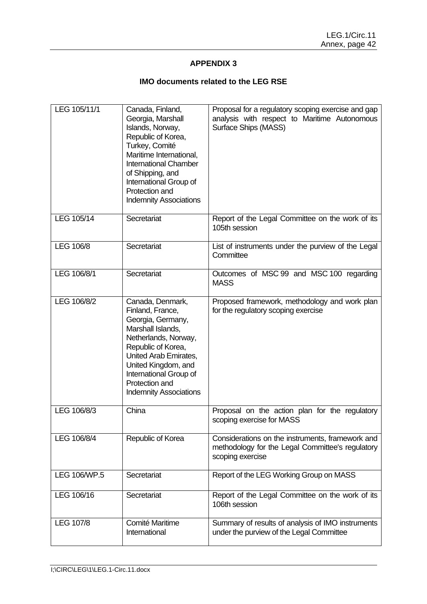### **APPENDIX 3**

#### **IMO documents related to the LEG RSE**

| LEG 105/11/1 | Canada, Finland,<br>Georgia, Marshall<br>Islands, Norway,<br>Republic of Korea,<br>Turkey, Comité<br>Maritime International,<br><b>International Chamber</b><br>of Shipping, and<br>International Group of<br>Protection and<br><b>Indemnity Associations</b> | Proposal for a regulatory scoping exercise and gap<br>analysis with respect to Maritime Autonomous<br>Surface Ships (MASS) |
|--------------|---------------------------------------------------------------------------------------------------------------------------------------------------------------------------------------------------------------------------------------------------------------|----------------------------------------------------------------------------------------------------------------------------|
| LEG 105/14   | Secretariat                                                                                                                                                                                                                                                   | Report of the Legal Committee on the work of its<br>105th session                                                          |
| LEG 106/8    | Secretariat                                                                                                                                                                                                                                                   | List of instruments under the purview of the Legal<br>Committee                                                            |
| LEG 106/8/1  | Secretariat                                                                                                                                                                                                                                                   | Outcomes of MSC 99 and MSC 100 regarding<br><b>MASS</b>                                                                    |
| LEG 106/8/2  | Canada, Denmark,<br>Finland, France,<br>Georgia, Germany,<br>Marshall Islands,<br>Netherlands, Norway,<br>Republic of Korea,<br>United Arab Emirates,<br>United Kingdom, and<br>International Group of<br>Protection and<br><b>Indemnity Associations</b>     | Proposed framework, methodology and work plan<br>for the regulatory scoping exercise                                       |
| LEG 106/8/3  | China                                                                                                                                                                                                                                                         | Proposal on the action plan for the regulatory<br>scoping exercise for MASS                                                |
| LEG 106/8/4  | Republic of Korea                                                                                                                                                                                                                                             | Considerations on the instruments, framework and<br>methodology for the Legal Committee's regulatory<br>scoping exercise   |
| LEG 106/WP.5 | Secretariat                                                                                                                                                                                                                                                   | Report of the LEG Working Group on MASS                                                                                    |
| LEG 106/16   | Secretariat                                                                                                                                                                                                                                                   | Report of the Legal Committee on the work of its<br>106th session                                                          |
| LEG 107/8    | Comité Maritime<br>International                                                                                                                                                                                                                              | Summary of results of analysis of IMO instruments<br>under the purview of the Legal Committee                              |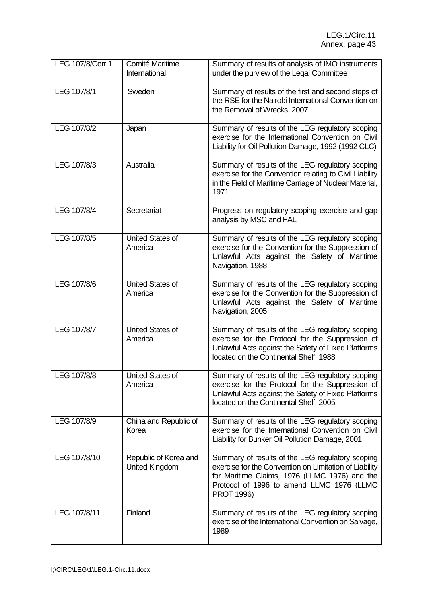| LEG 107/8/Corr.1 | Comité Maritime<br>International               | Summary of results of analysis of IMO instruments<br>under the purview of the Legal Committee                                                                                                                                 |
|------------------|------------------------------------------------|-------------------------------------------------------------------------------------------------------------------------------------------------------------------------------------------------------------------------------|
| LEG 107/8/1      | Sweden                                         | Summary of results of the first and second steps of<br>the RSE for the Nairobi International Convention on<br>the Removal of Wrecks, 2007                                                                                     |
| LEG 107/8/2      | Japan                                          | Summary of results of the LEG regulatory scoping<br>exercise for the International Convention on Civil<br>Liability for Oil Pollution Damage, 1992 (1992 CLC)                                                                 |
| LEG 107/8/3      | Australia                                      | Summary of results of the LEG regulatory scoping<br>exercise for the Convention relating to Civil Liability<br>in the Field of Maritime Carriage of Nuclear Material,<br>1971                                                 |
| LEG 107/8/4      | Secretariat                                    | Progress on regulatory scoping exercise and gap<br>analysis by MSC and FAL                                                                                                                                                    |
| LEG 107/8/5      | <b>United States of</b><br>America             | Summary of results of the LEG regulatory scoping<br>exercise for the Convention for the Suppression of<br>Unlawful Acts against the Safety of Maritime<br>Navigation, 1988                                                    |
| LEG 107/8/6      | <b>United States of</b><br>America             | Summary of results of the LEG regulatory scoping<br>exercise for the Convention for the Suppression of<br>Unlawful Acts against the Safety of Maritime<br>Navigation, 2005                                                    |
| LEG 107/8/7      | United States of<br>America                    | Summary of results of the LEG regulatory scoping<br>exercise for the Protocol for the Suppression of<br>Unlawful Acts against the Safety of Fixed Platforms<br>located on the Continental Shelf, 1988                         |
| LEG 107/8/8      | <b>United States of</b><br>America             | Summary of results of the LEG regulatory scoping<br>exercise for the Protocol for the Suppression of<br>Unlawful Acts against the Safety of Fixed Platforms<br>located on the Continental Shelf, 2005                         |
| LEG 107/8/9      | China and Republic of<br>Korea                 | Summary of results of the LEG regulatory scoping<br>exercise for the International Convention on Civil<br>Liability for Bunker Oil Pollution Damage, 2001                                                                     |
| LEG 107/8/10     | Republic of Korea and<br><b>United Kingdom</b> | Summary of results of the LEG regulatory scoping<br>exercise for the Convention on Limitation of Liability<br>for Maritime Claims, 1976 (LLMC 1976) and the<br>Protocol of 1996 to amend LLMC 1976 (LLMC<br><b>PROT 1996)</b> |
| LEG 107/8/11     | Finland                                        | Summary of results of the LEG regulatory scoping<br>exercise of the International Convention on Salvage,<br>1989                                                                                                              |